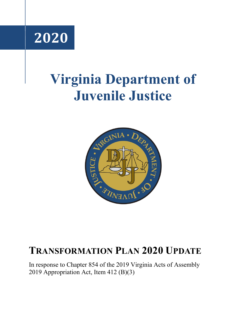

# **Virginia Department of Juvenile Justice**



# **TRANSFORMATION PLAN 2020 UPDATE**

In response to Chapter 854 of the 2019 Virginia Acts of Assembly 2019 Appropriation Act, Item 412 (B)(3)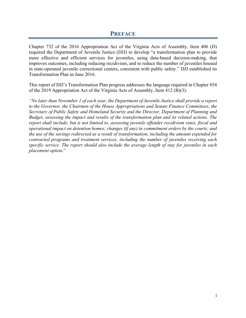<span id="page-1-0"></span>Chapter 732 of the 2016 Appropriation Act of the Virginia Acts of Assembly, Item 406 (D) required the Department of Juvenile Justice (DJJ) to develop "a transformation plan to provide more effective and efficient services for juveniles, using data-based decision-making, that improves outcomes, including reducing recidivism, and to reduce the number of juveniles housed in state-operated juvenile correctional centers, consistent with public safety." DJJ established its Transformation Plan in June 2016.

This report of DJJ's Transformation Plan progress addresses the language required in Chapter 854 of the 2019 Appropriation Act of the Virginia Acts of Assembly, Item 412 (B)(3):

*"No later than November 1 of each year, the Department of Juvenile Justice shall provide a report to the Governor, the Chairmen of the House Appropriations and Senate Finance Committees, the Secretary of Public Safety and Homeland Security and the Director, Department of Planning and Budget, assessing the impact and results of the transformation plan and its related actions. The report shall include, but is not limited to, assessing juvenile offender recidivism rates, fiscal and operational impact on detention homes; changes (if any) in commitment orders by the courts; and the use of the savings redirected as a result of transformation, including the amount expended for contracted programs and treatment services, including the number of juveniles receiving each specific service. The report should also include the average length of stay for juveniles in each placement option*."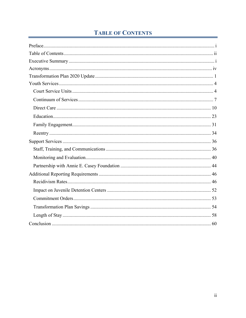# **TABLE OF CONTENTS**

<span id="page-2-0"></span>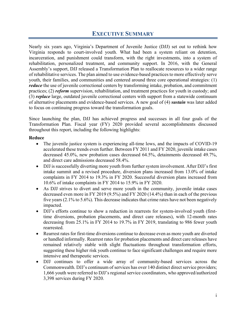# **EXECUTIVE SUMMARY**

<span id="page-3-0"></span>Nearly six years ago, Virginia's Department of Juvenile Justice (DJJ) set out to rethink how Virginia responds to court-involved youth. What had been a system reliant on detention, incarceration, and punishment could transform, with the right investments, into a system of rehabilitation, personalized treatment, and community support. In 2016, with the General Assembly's support, DJJ released a Transformation Plan to reallocate resources to a wider range of rehabilitative services. The plan aimed to use evidence-based practices to more effectively serve youth, their families, and communities and centered around three core operational strategies: (1) *reduce* the use of juvenile correctional centers by transforming intake, probation, and commitment practices; (2) *reform* supervision, rehabilitation, and treatment practices for youth in custody; and (3) *replace* large, outdated juvenile correctional centers with support from a statewide continuum of alternative placements and evidence-based services. A new goal of (4) *sustain* was later added to focus on continuing progress toward the transformation goals.

Since launching the plan, DJJ has achieved progress and successes in all four goals of the Transformation Plan. Fiscal year (FY) 2020 provided several accomplishments discussed throughout this report, including the following highlights:

#### **Reduce**

- The juvenile justice system is experiencing all-time lows, and the impacts of COVID-19 accelerated these trends even further. Between FY 2011 and FY 2020, juvenile intake cases decreased 45.0%, new probation cases decreased 64.5%, detainments decreased 49.7%, and direct care admissions decreased 58.4%.
- DJJ is successfully diverting more youth from further system involvement. After DJJ's first intake summit and a revised procedure, diversion plans increased from 13.0% of intake complaints in FY 2014 to 19.3% in FY 2020. Successful diversion plans increased from 10.6% of intake complaints in FY 2014 to 15.9% in FY 2020.
- As DJJ strives to divert and serve more youth in the community, juvenile intake cases decreased even more in FY 2019 (9.5%) and FY 2020 (14.4%) than in each of the previous five years (2.1% to 5.6%). This decrease indicates that crime rates have not been negatively impacted.
- DJJ's efforts continue to show a reduction in rearrests for system-involved youth (firsttime diversions, probation placements, and direct care releases), with 12-month rates decreasing from 25.1% in FY 2014 to 19.7% in FY 2019, translating to 986 fewer youth rearrested.
- Rearrest rates for first-time diversions continue to decrease even as more youth are diverted or handled informally. Rearrest rates for probation placements and direct care releases have remained relatively stable with slight fluctuations throughout transformation efforts, suggesting these higher risk youth continue to face significant challenges and require more intensive and therapeutic services.
- DJJ continues to offer a wide array of community-based services across the Commonwealth. DJJ's continuum of services has over 140 distinct direct service providers; 1,666 youth were referred to DJJ's regional service coordinators, who approved/authorized 3,398 services during FY 2020.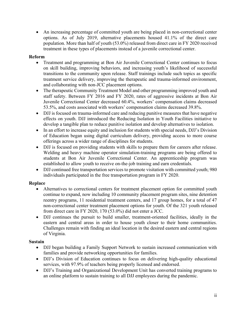• An increasing percentage of committed youth are being placed in non-correctional center options. As of July 2019, alternative placements housed 41.1% of the direct care population. More than half of youth (53.0%) released from direct care in FY 2020 received treatment in these types of placements instead of a juvenile correctional center.

#### **Reform**

- Treatment and programming at Bon Air Juvenile Correctional Center continues to focus on skill building, improving behaviors, and increasing youth's likelihood of successful transitions to the community upon release. Staff trainings include such topics as specific treatment service delivery, improving the therapeutic and trauma-informed environment, and collaborating with non-JCC placement options.
- The therapeutic Community Treatment Model and other programming improved youth and staff safety. Between FY 2016 and FY 2020, rates of aggressive incidents at Bon Air Juvenile Correctional Center decreased 60.4%, workers' compensation claims decreased 53.5%, and costs associated with workers' compensation claims decreased 39.8%.
- DJJ is focused on trauma-informed care and reducing punitive measures that have negative effects on youth. DJJ introduced the Reducing Isolation in Youth Facilities initiative to develop a tangible plan to reduce punitive isolation and develop alternatives to isolation.
- In an effort to increase equity and inclusion for students with special needs, DJJ's Division of Education began using digital curriculum delivery, providing access to more course offerings across a wider range of disciplines for students.
- DJJ is focused on providing students with skills to prepare them for careers after release. Welding and heavy machine operator simulation-training programs are being offered to students at Bon Air Juvenile Correctional Center. An apprenticeship program was established to allow youth to receive on-the-job training and earn credentials.
- DJJ continued free transportation services to promote visitation with committed youth; 980 individuals participated in the free transportation program in FY 2020.

#### **Replace**

- Alternatives to correctional centers for treatment placement option for committed youth continue to expand, now including 10 community placement program sites, nine detention reentry programs, 11 residential treatment centers, and 17 group homes, for a total of 47 non-correctional center treatment placement options for youth. Of the 321 youth released from direct care in FY 2020, 170 (53.0%) did not enter a JCC.
- DJJ continues the pursuit to build smaller, treatment-oriented facilities, ideally in the eastern and central areas in order to house youth closer to their home communities. Challenges remain with finding an ideal location in the desired eastern and central regions of Virginia.

#### **Sustain**

- DJJ began building a Family Support Network to sustain increased communication with families and provide networking opportunities for families.
- DJJ's Division of Education continues to focus on delivering high-quality educational services, with 97.9% of teachers being properly licensed and endorsed.
- DJJ's Training and Organizational Development Unit has converted training programs to an online platform to sustain training to all DJJ employees during the pandemic.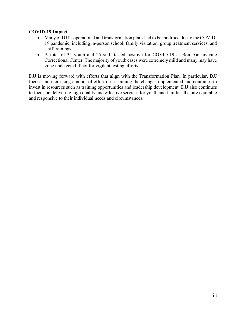#### **COVID-19 Impact**

- Many of DJJ's operational and transformation plans had to be modified due to the COVID-19 pandemic, including in-person school, family visitation, group treatment services, and staff trainings.
- A total of 34 youth and 25 staff tested positive for COVID-19 at Bon Air Juvenile Correctional Center. The majority of youth cases were extremely mild and many may have gone undetected if not for vigilant testing efforts.

DJJ is moving forward with efforts that align with the Transformation Plan. In particular, DJJ focuses an increasing amount of effort on sustaining the changes implemented and continues to invest in resources such as training opportunities and leadership development. DJJ also continues to focus on delivering high quality and effective services for youth and families that are equitable and responsive to their individual needs and circumstances.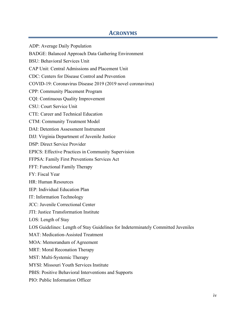## **ACRONYMS**

- <span id="page-6-0"></span>ADP: Average Daily Population
- BADGE: Balanced Approach Data Gathering Environment
- BSU: Behavioral Services Unit
- CAP Unit: Central Admissions and Placement Unit
- CDC: Centers for Disease Control and Prevention
- COVID-19: Coronavirus Disease 2019 (2019 novel coronavirus)
- CPP: Community Placement Program
- CQI: Continuous Quality Improvement
- CSU: Court Service Unit
- CTE: Career and Technical Education
- CTM: Community Treatment Model
- DAI: Detention Assessment Instrument
- DJJ: Virginia Department of Juvenile Justice
- DSP: Direct Service Provider
- EPICS: Effective Practices in Community Supervision
- FFPSA: Family First Preventions Services Act
- FFT: Functional Family Therapy
- FY: Fiscal Year
- HR: Human Resources
- IEP: Individual Education Plan
- IT: Information Technology
- JCC: Juvenile Correctional Center
- JTI: Justice Transformation Institute
- LOS: Length of Stay
- LOS Guidelines: Length of Stay Guidelines for Indeterminately Committed Juveniles
- MAT: Medication-Assisted Treatment
- MOA: Memorandum of Agreement
- MRT: Moral Reconation Therapy
- MST: Multi-Systemic Therapy
- MYSI: Missouri Youth Services Institute
- PBIS: Positive Behavioral Interventions and Supports
- PIO: Public Information Officer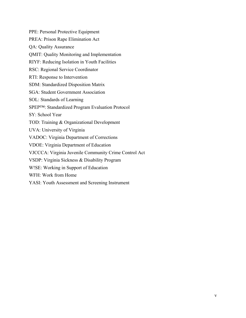PPE: Personal Protective Equipment PREA: Prison Rape Elimination Act QA: Quality Assurance QMIT: Quality Monitoring and Implementation RIYF: Reducing Isolation in Youth Facilities RSC: Regional Service Coordinator RTI: Response to Intervention SDM: Standardized Disposition Matrix SGA: Student Government Association SOL: Standards of Learning SPEP™: Standardized Program Evaluation Protocol SY: School Year TOD: Training & Organizational Development UVA: University of Virginia VADOC: Virginia Department of Corrections VDOE: Virginia Department of Education VJCCCA: Virginia Juvenile Community Crime Control Act VSDP: Virginia Sickness & Disability Program W!SE: Working in Support of Education WFH: Work from Home

YASI: Youth Assessment and Screening Instrument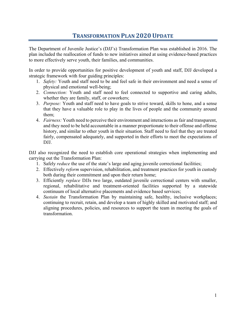# **TRANSFORMATION PLAN 2020 UPDATE**

<span id="page-8-0"></span>The Department of Juvenile Justice's (DJJ's) Transformation Plan was established in 2016. The plan included the reallocation of funds to new initiatives aimed at using evidence-based practices to more effectively serve youth, their families, and communities.

In order to provide opportunities for positive development of youth and staff, DJJ developed a strategic framework with four guiding principles:

- 1. *Safety:* Youth and staff need to be and feel safe in their environment and need a sense of physical and emotional well-being;
- 2. *Connection:* Youth and staff need to feel connected to supportive and caring adults, whether they are family, staff, or coworkers;
- 3. *Purpose:* Youth and staff need to have goals to strive toward, skills to hone, and a sense that they have a valuable role to play in the lives of people and the community around them;
- 4. *Fairness:* Youth need to perceive their environment and interactions as fair and transparent, and they need to be held accountable in a manner proportionate to their offense and offense history, and similar to other youth in their situation. Staff need to feel that they are treated fairly, compensated adequately, and supported in their efforts to meet the expectations of DJJ.

DJJ also recognized the need to establish core operational strategies when implementing and carrying out the Transformation Plan:

- 1. Safely *reduce* the use of the state's large and aging juvenile correctional facilities;
- 2. Effectively *reform* supervision, rehabilitation, and treatment practices for youth in custody both during their commitment and upon their return home;
- 3. Efficiently *replace* DJJs two large, outdated juvenile correctional centers with smaller, regional, rehabilitative and treatment-oriented facilities supported by a statewide continuum of local alternative placements and evidence based services;
- 4. *Sustain* the Transformation Plan by maintaining safe, healthy, inclusive workplaces; continuing to recruit, retain, and develop a team of highly skilled and motivated staff; and aligning procedures, policies, and resources to support the team in meeting the goals of transformation.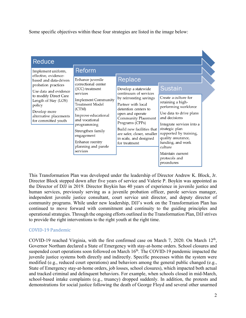Some specific objectives within these four strategies are listed in the image below:

| Reduce                                                                                                                                       |                                                                                                                                                                                                                |                                                                                                                                                                                                                                                 |                                                                                                                                                                                                                                                                                   |
|----------------------------------------------------------------------------------------------------------------------------------------------|----------------------------------------------------------------------------------------------------------------------------------------------------------------------------------------------------------------|-------------------------------------------------------------------------------------------------------------------------------------------------------------------------------------------------------------------------------------------------|-----------------------------------------------------------------------------------------------------------------------------------------------------------------------------------------------------------------------------------------------------------------------------------|
| Implement uniform,<br>effective, evidence-<br>based and data-driven<br>probation practices<br>Use data and evidence<br>to modify Direct Care | Reform<br>Enhance juvenile<br>correctional center<br>(JCC) treatment<br>services                                                                                                                               | Replace<br>Develop a statewide<br>continuum of services                                                                                                                                                                                         | <b>Sustain</b>                                                                                                                                                                                                                                                                    |
| Length of Stay (LOS)<br>policy<br>Develop more<br>alternative placements<br>for committed youth                                              | <b>Implement Community</b><br><b>Treatment Model</b><br>(CTM)<br>Improve educational<br>and vocational<br>programming<br>Strengthen family<br>engagement<br>Enhance reentry<br>planning and parole<br>services | by reinvesting savings<br>Partner with local<br>detention centers to<br>open and operate<br><b>Community Placement</b><br>Programs (CPPs)<br>Build new facilities that<br>are safer, closer, smaller<br>in scale, and designed<br>for treatment | Create a culture for<br>retaining a high-<br>performing workforce<br>Use data to drive plans<br>and decisions<br>Integrate services into a<br>strategic plan<br>supported by training,<br>quality assurance,<br>funding, and work<br>culture<br>Maintain current<br>protocols and |

This Transformation Plan was developed under the leadership of Director Andrew K. Block, Jr. Director Block stepped down after five years of service and Valerie P. Boykin was appointed as the Director of DJJ in 2019. Director Boykin has 40 years of experience in juvenile justice and human services, previously serving as a juvenile probation officer, parole services manager, independent juvenile justice consultant, court service unit director, and deputy director of community programs. While under new leadership, DJJ's work on the Transformation Plan has continued to move forward with commitment and continuity to the guiding principles and operational strategies. Through the ongoing efforts outlined in the Transformation Plan, DJJ strives to provide the right interventions to the right youth at the right time.

#### COVID-19 Pandemic

COVID-19 reached Virginia, with the first confirmed case on March 7, 2020. On March 12<sup>th</sup>, Governor Northam declared a State of Emergency with stay-at-home orders. School closures and suspended court operations soon followed on March  $16<sup>th</sup>$ . The COVID-19 pandemic impacted the juvenile justice systems both directly and indirectly. Specific processes within the system were modified (e.g., reduced court operations) and behaviors among the general public changed (e.g., State of Emergency stay-at-home orders, job losses, school closures), which impacted both actual and tracked criminal and delinquent behaviors. For example, when schools closed in mid-March, school-based intake complaints (e.g., truancy) dropped suddenly. In addition, the protests and demonstrations for social justice following the death of George Floyd and several other unarmed

 $\mathbb{N}$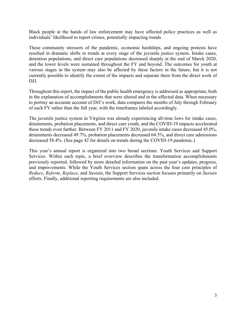Black people at the hands of law enforcement may have affected police practices as well as individuals' likelihood to report crimes, potentially impacting trends.

These community stressors of the pandemic, economic hardships, and ongoing protests have resulted in dramatic shifts in trends at every stage of the juvenile justice system. Intake cases, detention populations, and direct care populations decreased sharply at the end of March 2020, and the lower levels were sustained throughout the FY and beyond. The outcomes for youth at various stages in the system may also be affected by these factors in the future, but it is not currently possible to identify the extent of the impacts and separate them from the direct work of DJJ.

Throughout this report, the impact of the public health emergency is addressed as appropriate, both in the explanation of accomplishments that were altered and in the affected data. When necessary to portray an accurate account of DJJ's work, data compares the months of July through February of each FY rather than the full year, with the timeframes labeled accordingly.

The juvenile justice system in Virginia was already experiencing all-time lows for intake cases, detainments, probation placements, and direct care youth, and the COVID-19 impacts accelerated these trends even further. Between FY 2011 and FY 2020, juvenile intake cases decreased 45.0%, detainments decreased 49.7%, probation placements decreased 64.5%, and direct care admissions decreased 58.4%. (See page 42 for details on trends during the COVID-19 pandemic.)

This year's annual report is organized into two broad sections: Youth Services and Support Services. Within each topic, a brief overview describes the transformation accomplishments previously reported, followed by more detailed information on the past year's updates, progress, and improvements. While the Youth Services section spans across the four core principles of *Reduce*, *Reform*, *Replace*, and *Sustain*, the Support Services section focuses primarily on *Sustain* efforts. Finally, additional reporting requirements are also included.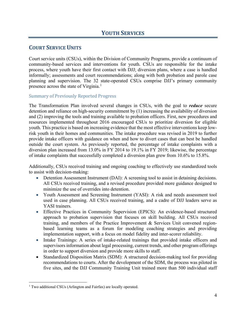# <span id="page-11-1"></span><span id="page-11-0"></span>**COURT SERVICE UNITS**

Court service units (CSUs), within the Division of Community Programs, provide a continuum of community-based services and interventions for youth. CSUs are responsible for the intake process, where youth have their first contact with DJJ; diversion plans, where a case is handled informally; assessments and court recommendations; along with both probation and parole case planning and supervision. The 32 state-operated CSUs comprise DJJ's primary community presence across the state of Virginia.[1](#page-11-2)

#### Summary of Previously Reported Progress

The Transformation Plan involved several changes in CSUs, with the goal to *reduce* secure detention and reliance on high-security commitment by (1) increasing the availability of diversion and (2) improving the tools and training available to probation officers. First, new procedures and resources implemented throughout 2016 encouraged CSUs to prioritize diversion for eligible youth. This practice is based on increasing evidence that the most effective interventions keep lowrisk youth in their homes and communities. The intake procedure was revised in 2019 to further provide intake officers with guidance on when and how to divert cases that can best be handled outside the court system. As previously reported, the percentage of intake complaints with a diversion plan increased from 13.0% in FY 2014 to 19.1% in FY 2019; likewise, the percentage of intake complaints that successfully completed a diversion plan grew from 10.6% to 15.8%.

Additionally, CSUs received training and ongoing coaching to effectively use standardized tools to assist with decision-making:

- Detention Assessment Instrument (DAI): A screening tool to assist in detaining decisions. All CSUs received training, and a revised procedure provided more guidance designed to minimize the use of overrides into detention.
- Youth Assessment and Screening Instrument (YASI): A risk and needs assessment tool used in case planning. All CSUs received training, and a cadre of DJJ leaders serve as YASI trainers.
- Effective Practices in Community Supervision (EPICS): An evidence-based structured approach to probation supervision that focuses on skill building. All CSUs received training, and members of the Practice Improvement & Services Unit convened regionbased learning teams as a forum for modeling coaching strategies and providing implementation support, with a focus on model fidelity and inter-scorer reliability.
- Intake Trainings: A series of intake-related trainings that provided intake officers and supervisors information about legal processing, current trends, and other program offerings in order to support diversion and provide more skills to staff.
- Standardized Disposition Matrix (SDM): A structured decision-making tool for providing recommendations to courts. After the development of the SDM, the process was piloted in five sites, and the DJJ Community Training Unit trained more than 500 individual staff

<span id="page-11-2"></span><sup>&</sup>lt;sup>1</sup> Two additional CSUs (Arlington and Fairfax) are locally operated.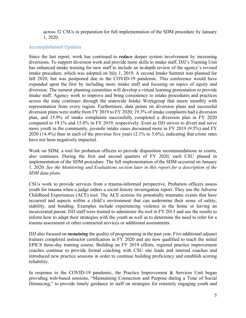across 32 CSUs in preparation for full implementation of the SDM procedure by January 1, 2020.

#### Accomplishment Updates

Since the last report, work has continued to *reduce* deeper system involvement by increasing diversions. To support diversion work and provide more skills to intake staff, DJJ's Training Unit has enhanced intake training for new staff to include an in-depth review of the agency's revised intake procedure, which was adopted on July 1, 2019. A second Intake Summit was planned for fall 2020, but was postponed due to the COVID-19 pandemic. This conference would have expanded upon the first by including more intake staff and focusing on topics of equity and diversion. The summit planning committee will develop a virtual learning presentation to provide intake staff. Agency work to improve and bring consistency to intake procedures and practices across the state continues through the statewide Intake Workgroup that meets monthly with representation from every region. Furthermore, data points on diversion plans and successful diversion plans were stable from FY 2019 to FY 2020; 19.3% of intake complaints had a diversion plan, and 15.9% of intake complaints successfully completed a diversion plan in FY 2020 compared to 19.1% and 15.8% in FY 2019, respectively. Even as DJJ strives to divert and serve more youth in the community, juvenile intake cases decreased more in FY 2019 (9.5%) and FY 2020 (14.4%) than in each of the previous five years (2.1% to 5.6%), indicating that crime rates have not been negatively impacted.

Work on SDM, a tool for probation officers to provide disposition recommendations to courts, also continues. During the first and second quarters of FY 2020, each CSU phased in implementation of the SDM procedure. The full implementation of the SDM occurred on January 1, 2020. *See the Monitoring and Evaluations section later in this report for a description of the SDM data plans.* 

CSUs work to provide services from a trauma-informed perspective. Probation officers assess youth for trauma when a judge orders a social history investigation report. They use the Adverse Childhood Experiences (ACE) tool. The ACE screens for potentially traumatic events that have occurred and aspects within a child's environment that can undermine their sense of safety, stability, and bonding. Examples include experiencing violence in the home or having an incarcerated parent. DJJ staff were trained to administer the tool in FY 2015 and use the results to inform how to adapt their strategies with the youth as well as to determine the need to refer for a trauma assessment or other contracted services or additional assessments.

DJJ also focused on *sustaining* the quality of programming in the past year. Five additional adjunct trainers completed instructor certification in FY 2020 and are now qualified to teach the initial EPICS three-day training course. Building on FY 2019 efforts, regional practice improvement coaches continue to provide formal coaching with CSU site leads and internal coaches and introduced new practice sessions in order to continue building proficiency and establish scoring reliability.

In response to the COVID-19 pandemic, the Practice Improvement  $\&$  Services Unit began providing web-based sessions, "Maintaining Connection and Purpose during a Time of Social Distancing," to provide timely guidance to staff on strategies for remotely engaging youth and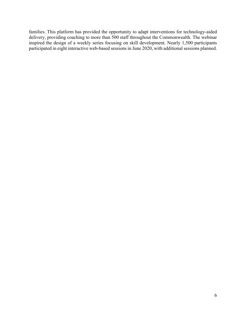families. This platform has provided the opportunity to adapt interventions for technology-aided delivery, providing coaching to more than 500 staff throughout the Commonwealth. The webinar inspired the design of a weekly series focusing on skill development. Nearly 1,500 participants participated in eight interactive web-based sessions in June 2020, with additional sessions planned.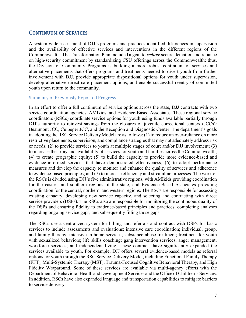#### <span id="page-14-0"></span>**CONTINUUM OF SERVICES**

A system-wide assessment of DJJ's programs and practices identified differences in supervision and the availability of effective services and interventions in the different regions of the Commonwealth. The Transformation Plan included a goal to *reduce* secure detention and reliance on high-security commitment by standardizing CSU offerings across the Commonwealth; thus, the Division of Community Programs is building a more robust continuum of services and alternative placements that offers programs and treatments needed to divert youth from further involvement with DJJ, provide appropriate dispositional options for youth under supervision, develop alternative direct care placement options, and enable successful reentry of committed youth upon return to the community.

#### Summary of Previously Reported Progress

In an effort to offer a full continuum of service options across the state, DJJ contracts with two service coordination agencies, AMIkids, and Evidence-Based Associates. These regional service coordinators (RSCs) coordinate service options for youth using funds available partially through DJJ's authority to reinvest savings from the closures of juvenile correctional centers (JCCs): Beaumont JCC, Culpeper JCC, and the Reception and Diagnostic Center. The department's goals in adopting the RSC Service Delivery Model are as follows: (1) to reduce an over-reliance on more restrictive placements, supervision, and compliance strategies that may not adequately address risk or needs; (2) to provide services to youth at multiple stages of court and/or DJJ involvement; (3) to increase the array and availability of services for youth and families across the Commonwealth; (4) to create geographic equity; (5) to build the capacity to provide more evidence-based and evidence-informed services that have demonstrated effectiveness; (6) to adopt performance measures and develop the capacity to monitor and enhance the quality of services and adherence to evidence-based principles; and (7) to increase efficiency and streamline processes. The work of the RSCs is divided using DJJ's five administrative regions, with AMIkids providing coordination for the eastern and southern regions of the state, and Evidence-Based Associates providing coordination for the central, northern, and western regions. The RSCs are responsible for assessing existing capacity, developing new service capacity, and selecting and contracting with direct service providers (DSPs). The RSCs also are responsible for monitoring the continuous quality of the DSPs and ensuring fidelity to evidence-based principles and practices, completing analyses regarding ongoing service gaps, and subsequently filling those gaps.

The RSCs use a centralized system for billing and referrals and contract with DSPs for basic services to include assessments and evaluations; intensive care coordination; individual, group, and family therapy; intensive in-home services; substance abuse treatment; treatment for youth with sexualized behaviors; life skills coaching; gang intervention services; anger management; workforce services; and independent living. These contracts have significantly expanded the services available to youth. For example, DJJ offers several evidence-based models as referral options for youth through the RSC Service Delivery Model, including Functional Family Therapy (FFT), Multi-Systemic Therapy (MST), Trauma-Focused Cognitive Behavioral Therapy, and High Fidelity Wraparound. Some of these services are available via multi-agency efforts with the Department of Behavioral Health and Development Services and the Office of Children's Services. In addition, RSCs have also expanded language and transportation capabilities to mitigate barriers to service delivery.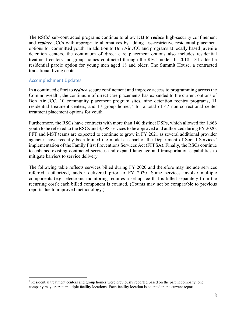The RSCs' sub-contracted programs continue to allow DJJ to *reduce* high-security confinement and *replace* JCCs with appropriate alternatives by adding less-restrictive residential placement options for committed youth. In addition to Bon Air JCC and programs at locally based juvenile detention centers, the continuum of direct care placement options also includes residential treatment centers and group homes contracted through the RSC model. In 2018, DJJ added a residential parole option for young men aged 18 and older, The Summit House, a contracted transitional living center.

#### Accomplishment Updates

In a continued effort to *reduce* secure confinement and improve access to programming across the Commonwealth, the continuum of direct care placements has expanded to the current options of Bon Air JCC, 10 community placement program sites, nine detention reentry programs, 11 residential treatment centers, and 17 group homes,<sup>[2](#page-15-0)</sup> for a total of 47 non-correctional center treatment placement options for youth.

Furthermore, the RSCs have contracts with more than 140 distinct DSPs, which allowed for 1,666 youth to be referred to the RSCs and 3,398 services to be approved and authorized during FY 2020. FFT and MST teams are expected to continue to grow in FY 2021 as several additional provider agencies have recently been trained the models as part of the Department of Social Services' implementation of the Family First Preventions Services Act (FFPSA). Finally, the RSCs continue to enhance existing contracted services and expand language and transportation capabilities to mitigate barriers to service delivery.

The following table reflects services billed during FY 2020 and therefore may include services referred, authorized, and/or delivered prior to FY 2020. Some services involve multiple components (e.g., electronic monitoring requires a set-up fee that is billed separately from the recurring cost); each billed component is counted. (Counts may not be comparable to previous reports due to improved methodology.)

<span id="page-15-0"></span><sup>&</sup>lt;sup>2</sup> Residential treatment centers and group homes were previously reported based on the parent company; one company may operate multiple facility locations. Each facility location is counted in the current report.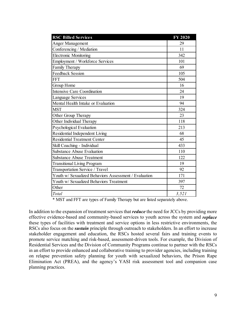| <b>RSC Billed Services</b>                            | <b>FY 2020</b> |
|-------------------------------------------------------|----------------|
| <b>Anger Management</b>                               | 29             |
| Conferencing / Mediation                              | 11             |
| <b>Electronic Monitoring</b>                          | 342            |
| Employment / Workforce Services                       | 101            |
| Family Therapy                                        | 69             |
| <b>Feedback Session</b>                               | 105            |
| FFT                                                   | 504            |
| Group Home                                            | 16             |
| <b>Intensive Care Coordination</b>                    | 24             |
| Language Services                                     | 19             |
| Mental Health Intake or Evaluation                    | 94             |
| <b>MST</b>                                            | 324            |
| Other Group Therapy                                   | 23             |
| Other Individual Therapy                              | 118            |
| Psychological Evaluation                              | 213            |
| Residential Independent Living                        | 68             |
| <b>Residential Treatment Center</b>                   | 45             |
| Skill Coaching - Individual                           | 433            |
| Substance Abuse Evaluation                            | 110            |
| <b>Substance Abuse Treatment</b>                      | 122            |
| <b>Transitional Living Program</b>                    | 19             |
| Transportation Service / Travel                       | 92             |
| Youth w/ Sexualized Behaviors Assessment / Evaluation | 171            |
| Youth w/ Sexualized Behaviors Treatment               | 397            |
| Other                                                 | 72             |
| Total                                                 | 3,521          |

\* MST and FFT are types of Family Therapy but are listed separately above.

In addition to the expansion of treatment services that *reduce* the need for JCCs by providing more effective evidence-based and community-based services to youth across the system and *replace* these types of facilities with treatment and service options in less restrictive environments, the RSCs also focus on the *sustain* principle through outreach to stakeholders. In an effort to increase stakeholder engagement and education, the RSCs hosted several fairs and training events to promote service matching and risk-based, assessment-driven tools. For example, the Division of Residential Services and the Division of Community Programs continue to partner with the RSCs in an effort to provide enhanced and collaborative training to provider agencies, including training on relapse prevention safety planning for youth with sexualized behaviors, the Prison Rape Elimination Act (PREA), and the agency's YASI risk assessment tool and companion case planning practices.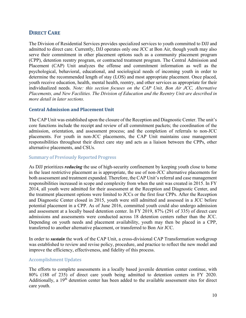# <span id="page-17-0"></span>**DIRECT CARE**

The Division of Residential Services provides specialized services to youth committed to DJJ and admitted to direct care. Currently, DJJ operates only one JCC at Bon Air, though youth may also serve their commitment in other placement options such as a community placement program (CPP), detention reentry program, or contracted treatment program. The Central Admission and Placement (CAP) Unit analyzes the offense and commitment information as well as the psychological, behavioral, educational, and sociological needs of incoming youth in order to determine the recommended length of stay (LOS) and most appropriate placement. Once placed, youth receive education, health, mental health, reentry, and other services as appropriate for their individualized needs. *Note: this section focuses on the CAP Unit, Bon Air JCC, Alternative Placements, and New Facilities. The Division of Education and the Reentry Unit are described in more detail in later sections.* 

#### **Central Admission and Placement Unit**

The CAP Unit was established upon the closure of the Reception and Diagnostic Center. The unit's core functions include the receipt and review of all commitment packets; the coordination of the admission, orientation, and assessment process; and the completion of referrals to non-JCC placements. For youth in non-JCC placements, the CAP Unit maintains case management responsibilities throughout their direct care stay and acts as a liaison between the CPPs, other alternative placements, and CSUs.

#### Summary of Previously Reported Progress

As DJJ prioritizes *reducing* the use of high-security confinement by keeping youth close to home in the least restrictive placement as is appropriate, the use of non-JCC alternative placements for both assessment and treatment expanded. Therefore, the CAP Unit's referral and case management responsibilities increased in scope and complexity from when the unit was created in 2015. In FY 2014, all youth were admitted for their assessment at the Reception and Diagnostic Center, and the treatment placement options were limited to JCCs or the first four CPPs. After the Reception and Diagnostic Center closed in 2015, youth were still admitted and assessed in a JCC before potential placement in a CPP. As of June 2016, committed youth could also undergo admission and assessment at a locally based detention center. In FY 2019, 87% (291 of 335) of direct care admissions and assessments were conducted across 18 detention centers rather than the JCC. Depending on youth needs and placement availability, youth may then be placed in a CPP, transferred to another alternative placement, or transferred to Bon Air JCC.

In order to *sustain* the work of the CAP Unit, a cross-divisional CAP Transformation workgroup was established to review and revise policy, procedure, and practice to reflect the new model and improve the efficiency, effectiveness, and fidelity of this process.

#### Accomplishment Updates

The efforts to complete assessments in a locally based juvenile detention center continue, with 80% (188 of 235) of direct care youth being admitted to detention centers in FY 2020. Additionally, a 19<sup>th</sup> detention center has been added to the available assessment sites for direct care youth.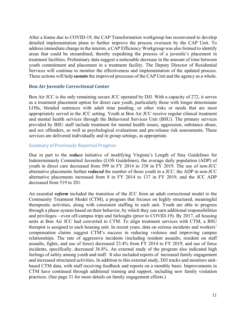After a hiatus due to COVID-19, the CAP Transformation workgroup has reconvened to develop detailed implementation plans to further improve the process overseen by the CAP Unit. To address immediate change in the interim, a CAP Efficiency Workgroup was also formed to identify areas that could be streamlined, thereby expediting the process of a juvenile's placement in treatment facilities. Preliminary data suggest a noticeable decrease in the amount of time between youth commitment and placement in a treatment facility. The Deputy Director of Residential Services will continue to monitor the effectiveness and implementation of the updated process. These actions will help *sustain* the improved processes of the CAP Unit and the agency as a whole.

#### **Bon Air Juvenile Correctional Center**

Bon Air JCC is the only remaining secure JCC operated by DJJ. With a capacity of 272, it serves as a treatment placement option for direct care youth, particularly those with longer determinate LOSs, blended sentences with adult time pending, or other risks or needs that are most appropriately served in the JCC setting. Youth at Bon Air JCC receive regular clinical treatment and mental health services through the Behavioral Services Unit (BSU). The primary services provided by BSU staff include treatment for mental health issues, aggression, substance abuse, and sex offenders, as well as psychological evaluations and pre-release risk assessments. These services are delivered individually and in group settings, as appropriate.

#### Summary of Previously Reported Progress

Due in part to the *reduce* initiative of modifying Virginia's Length of Stay Guidelines for Indeterminately Committed Juveniles (LOS Guidelines), the average daily population (ADP) of youth in direct care decreased from 599 in FY 2014 to 338 in FY 2019. The use of non-JCC alternative placements further *reduced* the number of those youth in a JCC: the ADP in non-JCC alternative placements increased from 8 in FY 2014 to 137 in FY 2019, and the JCC ADP decreased from 519 to 201.

An essential *reform* included the transition of the JCC from an adult correctional model to the Community Treatment Model (CTM), a program that focuses on highly structured, meaningful therapeutic activities, along with consistent staffing in each unit. Youth are able to progress through a phase system based on their behavior, by which they can earn additional responsibilities and privileges—even off-campus trips and furloughs (prior to COVID-19). By 2017, all housing units at Bon Air JCC had converted to CTM. To align treatment services with CTM, a BSU therapist is assigned to each housing unit. In recent years, data on serious incidents and workers' compensation claims suggest CTM's success in reducing violence and improving campus relationships. The rate of aggressive incidents (including resident assaults, resident on staff assaults, fights, and use of force) decreased 23.4% from FY 2014 to FY 2019, and use of force incidents, specifically, decreased 36.8%. An external study of the program also indicated high feelings of safety among youth and staff. It also included reports of increased family engagement and increased structured activities. In addition to this external study, DJJ tracks and monitors unitbased CTM data, with staff receiving feedback and reports on a monthly basis. Improvements in CTM have continued through additional training and support, including new family visitation practices. (See page 31 for more details on family engagement efforts.)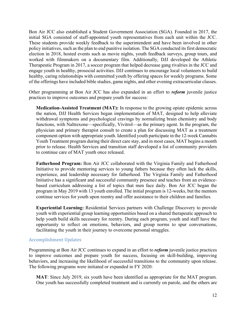Bon Air JCC also established a Student Government Association (SGA). Founded in 2017, the initial SGA consisted of staff-appointed youth representatives from each unit within the JCC. These students provide weekly feedback to the superintendent and have been involved in other policy initiatives, such as the plan to end punitive isolation. The SGA conducted its first democratic election in 2018, hosted events such as movie nights, youth feedback surveys, group tours, and worked with filmmakers on a documentary film. Additionally, DJJ developed the Athletic Therapeutic Program in 2017, a soccer program that helped decrease gang rivalries in the JCC and engage youth in healthy, prosocial activities. DJJ continues to encourage local volunteers to build healthy, caring relationships with committed youth by offering spaces for weekly programs. Some of the offerings have included bible studies, game nights, and other evening extracurricular classes.

Other programming at Bon Air JCC has also expanded in an effort to *reform* juvenile justice practices to improve outcomes and prepare youth for success:

**Medication-Assisted Treatment (MAT):** In response to the growing opiate epidemic across the nation, DJJ Health Services began implementation of MAT, designed to help alleviate withdrawal symptoms and psychological cravings by normalizing brain chemistry and body functions, with Naltrexone—specifically, Vivitrol—as the primary agent. In the program, the physician and primary therapist consult to create a plan for discussing MAT as a treatment component option with appropriate youth. Identified youth participate in the 12-week Cannabis Youth Treatment program during their direct care stay, and in most cases, MAT begins a month prior to release. Health Services and transition staff developed a list of community providers to continue care of MAT youth once released.

**Fatherhood Program:** Bon Air JCC collaborated with the Virginia Family and Fatherhood Initiative to provide mentoring services to young fathers because they often lack the skills, experience, and leadership necessary for fatherhood. The Virginia Family and Fatherhood Initiative has a significant and successful community presence and teaches from an evidencebased curriculum addressing a list of topics that men face daily. Bon Air JCC began the program in May 2019 with 13 youth enrolled. The initial program is 12-weeks, but the mentors continue services for youth upon reentry and offer assistance to their children and families.

**Experiential Learning:** Residential Services partners with Challenge Discovery to provide youth with experiential group learning opportunities based on a shared therapeutic approach to help youth build skills necessary for reentry. During each program, youth and staff have the opportunity to reflect on emotions, behaviors, and group norms to spur conversations, facilitating the youth in their journey to overcome personal struggles.

#### Accomplishment Updates

Programming at Bon Air JCC continues to expand in an effort to *reform* juvenile justice practices to improve outcomes and prepare youth for success, focusing on skill-building, improving behaviors, and increasing the likelihood of successful transitions to the community upon release. The following programs were initiated or expanded in FY 2020:

**MAT**: Since July 2019, six youth have been identified as appropriate for the MAT program. One youth has successfully completed treatment and is currently on parole, and the others are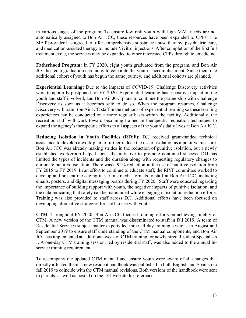in various stages of the program. To ensure low risk youth with high MAT needs are not automatically assigned to Bon Air JCC, these resources have been expanded to CPPs. The MAT provider has agreed to offer comprehensive substance abuse therapy, psychiatric care, and medication-assisted therapy to include Vivitrol injections. After completion of the first full treatment cycle, the services may be expanded to other interested CPPs through telemedicine.

**Fatherhood Program:** In FY 2020, eight youth graduated from the program, and Bon Air JCC hosted a graduation ceremony to celebrate the youth's accomplishment. Since then, one additional cohort of youth has begun the same journey, and additional cohorts are planned.

**Experiential Learning:** Due to the impacts of COVID-19, Challenge Discovery activities were temporarily postponed for FY 2020. Experiential learning has a positive impact on the youth and staff involved, and Bon Air JCC plans to continue the partnership with Challenge Discovery as soon as it becomes safe to do so. When the program resumes, Challenge Discovery will train Bon Air JCC staff in the methods of experiential learning so these learning experiences can be conducted on a more regular basis within the facility. Additionally, the recreation staff will work toward becoming trained in therapeutic recreation techniques to expand the agency's therapeutic efforts to all aspects of the youth's daily lives at Bon Air JCC.

**Reducing Isolation in Youth Facilities (RIYF):** DJJ received grant-funded technical assistance to develop a work plan to further reduce the use of isolation as a punitive measure. Bon Air JCC was already making strides in the reduction of punitive isolation, but a newly established workgroup helped focus the initiative to promote continued success. DJJ has limited the types of incidents and the duration along with requesting regulatory changes to eliminate punitive isolation. There was a 92% reduction in the use of punitive isolation from FY 2015 to FY 2019. In an effort to continue to educate staff, the RIYF committee worked to develop and present messaging in various media formats to staff at Bon Air JCC, including emails, posters, and digital messaging boards during FY 2020. Staff were educated regarding the importance of building rapport with youth, the negative impacts of punitive isolation, and the data indicating that safety can be maintained while engaging in isolation reduction efforts. Training was also provided to staff across DJJ. Additional efforts have been focused on developing alternative strategies for staff to use with youth.

**CTM**: Throughout FY 2020, Bon Air JCC focused training efforts on achieving fidelity of CTM. A new version of the CTM manual was disseminated to staff in fall 2019. A team of Residential Services subject matter experts led three all-day training sessions in August and September 2019 to ensure staff understanding of the CTM manual components, and Bon Air JCC has implemented an additional week of CTM training for newly hired Resident Specialists I. A one-day CTM training session, led by residential staff, was also added to the annual inservice training requirement.

To accompany the updated CTM manual and ensure youth were aware of all changes that directly affected them, a new resident handbook was published in both English and Spanish in fall 2019 to coincide with the CTM manual revisions. Both versions of the handbook were sent to parents, as well as posted on the DJJ website for reference.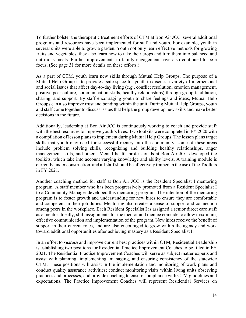To further bolster the therapeutic treatment efforts of CTM at Bon Air JCC, several additional programs and resources have been implemented for staff and youth. For example, youth in several units were able to grow a garden. Youth not only learn effective methods for growing fruits and vegetables, they also learn how to take their crops and turn them into balanced and nutritious meals. Further improvements to family engagement have also continued to be a focus. (See page 31 for more details on these efforts.)

As a part of CTM, youth learn new skills through Mutual Help Groups. The purpose of a Mutual Help Group is to provide a safe space for youth to discuss a variety of interpersonal and social issues that affect day-to-day living (e.g., conflict resolution, emotion management, positive peer culture, communication skills, healthy relationships) through group facilitation, sharing, and support. By staff encouraging youth to share feelings and ideas, Mutual Help Groups can also improve trust and bonding within the unit. During Mutual Help Groups, youth and staff come together to discuss issues that help the group develop new skills and make better decisions in the future.

Additionally, leadership at Bon Air JCC is continuously working to coach and provide staff with the best resources to improve youth's lives. Two toolkits were completed in FY 2020 with a compilation of lesson plans to implement during Mutual Help Groups. The lesson plans target skills that youth may need for successful reentry into the community; some of these areas include problem solving skills, recognizing and building healthy relationships, anger management skills, and others. Mental health professionals at Bon Air JCC developed the toolkits, which take into account varying knowledge and ability levels. A training module is currently under construction, and all staff should be effectively trained in the use of the Toolkits in FY 2021.

Another coaching method for staff at Bon Air JCC is the Resident Specialist I mentoring program. A staff member who has been progressively promoted from a Resident Specialist I to a Community Manager developed this mentoring program. The intention of the mentoring program is to foster growth and understanding for new hires to ensure they are comfortable and competent in their job duties. Mentoring also creates a sense of support and connection among peers in the workplace. Each Resident Specialist I is assigned a senior direct care staff as a mentor. Ideally, shift assignments for the mentor and mentee coincide to allow maximum, effective communication and implementation of the program. New hires receive the benefit of support in their current roles, and are also encouraged to grow within the agency and work toward additional opportunities after achieving mastery as a Resident Specialist I.

In an effort to *sustain* and improve current best practices within CTM, Residential Leadership is establishing two positions for Residential Practice Improvement Coaches to be filled in FY 2021. The Residential Practice Improvement Coaches will serve as subject matter experts and assist with planning, implementing, managing, and ensuring consistency of the statewide CTM. These positions will assist in the implementation and monitoring of work plans and conduct quality assurance activities; conduct monitoring visits within living units observing practices and processes; and provide coaching to ensure compliance with CTM guidelines and expectations. The Practice Improvement Coaches will represent Residential Services on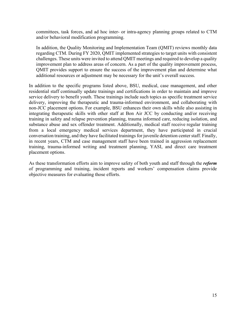committees, task forces, and ad hoc inter- or intra-agency planning groups related to CTM and/or behavioral modification programming.

In addition, the Quality Monitoring and Implementation Team (QMIT) reviews monthly data regarding CTM. During FY 2020, QMIT implemented strategies to target units with consistent challenges. These units were invited to attend QMIT meetings and required to develop a quality improvement plan to address areas of concern. As a part of the quality improvement process, QMIT provides support to ensure the success of the improvement plan and determine what additional resources or adjustment may be necessary for the unit's overall success.

In addition to the specific programs listed above, BSU, medical, case management, and other residential staff continually update trainings and certifications in order to maintain and improve service delivery to benefit youth. These trainings include such topics as specific treatment service delivery, improving the therapeutic and trauma-informed environment, and collaborating with non-JCC placement options. For example, BSU enhances their own skills while also assisting in integrating therapeutic skills with other staff at Bon Air JCC by conducting and/or receiving training in safety and relapse prevention planning, trauma informed care, reducing isolation, and substance abuse and sex offender treatment. Additionally, medical staff receive regular training from a local emergency medical services department, they have participated in crucial conversation training, and they have facilitated trainings for juvenile detention center staff. Finally, in recent years, CTM and case management staff have been trained in aggression replacement training, trauma-informed writing and treatment planning, YASI, and direct care treatment placement options.

As these transformation efforts aim to improve safety of both youth and staff through the *reform* of programming and training, incident reports and workers' compensation claims provide objective measures for evaluating those efforts.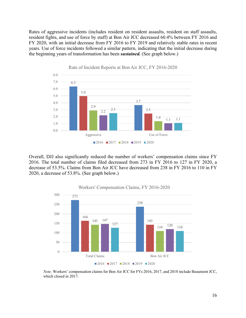Rates of aggressive incidents (includes resident on resident assaults, resident on staff assaults, resident fights, and use of force by staff) at Bon Air JCC decreased 60.4% between FY 2016 and FY 2020, with an initial decrease from FY 2016 to FY 2019 and relatively stable rates in recent years. Use of force incidents followed a similar pattern, indicating that the initial decrease during the beginning years of transformation has been *sustained.* (See graph below.)



Rate of Incident Reports at Bon Air JCC, FY 2016-2020

Overall, DJJ also significantly reduced the number of workers' compensation claims since FY 2016. The total number of claims filed decreased from 273 in FY 2016 to 127 in FY 2020, a decrease of 53.5%. Claims from Bon Air JCC have decreased from 238 in FY 2016 to 110 in FY 2020, a decrease of 53.8%. (See graph below.)



Workers' Compensation Claims, FY 2016-2020

*Note.* Workers' compensation claims for Bon Air JCC for FYs 2016, 2017, and 2018 include Beaumont JCC, which closed in 2017.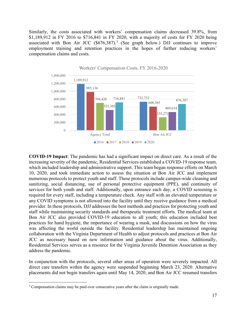Similarly, the costs associated with workers' compensation claims decreased 39.8%, from \$1,189,912 in FY 2016 to \$716,841 in FY 2020, with a majority of costs for FY 2020 being associated with Bon Air JCC  $(\$676,387).$  $(\$676,387).$  $(\$676,387).$ <sup>3</sup> (See graph below.) DJJ continues to improve employment training and retention practices in the hopes of further reducing workers' compensation claims and costs.



**COVID-19 Impact**: The pandemic has had a significant impact on direct care. As a result of the increasing severity of the pandemic, Residential Services established a COVID-19 response team, which included leadership and administrative support. This team began response efforts on March 10, 2020, and took immediate action to assess the situation at Bon Air JCC and implement numerous protocols to protect youth and staff. These protocols include campus-wide cleaning and sanitizing, social distancing, use of personal protective equipment (PPE), and continuity of services for both youth and staff. Additionally, upon entrance each day, a COVID screening is required for every staff, including a temperature check. Any staff with an elevated temperature or any COVID symptoms is not allowed into the facility until they receive guidance from a medical provider. In these protocols, DJJ addresses the best methods and practices for protecting youth and staff while maintaining security standards and therapeutic treatment efforts. The medical team at Bon Air JCC also provided COVID-19 education to all youth; this education included best practices for hand hygiene, the importance of wearing a mask, and discussions on how the virus was affecting the world outside the facility. Residential leadership has maintained ongoing collaboration with the Virginia Department of Health to adjust protocols and practices at Bon Air JCC as necessary based on new information and guidance about the virus. Additionally, Residential Services serves as a resource for the Virginia Juvenile Detention Association as they address the pandemic.

In conjunction with the protocols, several other areas of operation were severely impacted. All direct care transfers within the agency were suspended beginning March 23, 2020. Alternative placements did not begin transfers again until May 14, 2020, and Bon Air JCC resumed transfers

<span id="page-24-0"></span> <sup>3</sup> Compensation claims may be paid over consecutive years after the claim is originally made.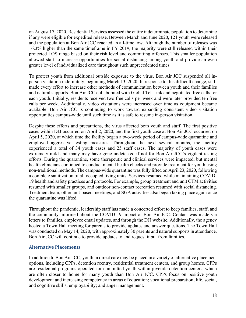on August 17, 2020. Residential Services assessed the entire indeterminate population to determine if any were eligible for expedited release. Between March and June 2020, 121 youth were released and the population at Bon Air JCC reached an all-time low. Although the number of releases was 16.3% higher than the same timeframe in FY 2019, the majority were still released within their projected LOS range based on their risk level and committing offenses. This smaller population allowed staff to increase opportunities for social distancing among youth and provide an even greater level of individualized care throughout such unprecedented times.

To protect youth from additional outside exposure to the virus, Bon Air JCC suspended all inperson visitation indefinitely, beginning March 13, 2020. In response to this difficult change, staff made every effort to increase other methods of communication between youth and their families and natural supports. Bon Air JCC collaborated with Global Tel-Link and negotiated free calls for each youth. Initially, residents received two free calls per week and were later provided ten free calls per week. Additionally, video visitations were increased over time as equipment became available. Bon Air JCC is continuing to work toward expanding consistent video visitation opportunities campus-wide until such time as it is safe to resume in-person visitation.

Despite these efforts and precautions, the virus affected both youth and staff. The first positive cases within DJJ occurred on April 2, 2020, and the first youth case at Bon Air JCC occurred on April 5, 2020, at which time the facility began a two-week period of campus-wide quarantine and employed aggressive testing measures. Throughout the next several months, the facility experienced a total of 34 youth cases and 25 staff cases. The majority of youth cases were extremely mild and many may have gone undetected if not for Bon Air JCC's vigilant testing efforts. During the quarantine, some therapeutic and clinical services were impacted, but mental health clinicians continued to conduct mental health checks and provide treatment for youth using non-traditional methods. The campus-wide quarantine was fully lifted on April 23, 2020, following a complete sanitization of all occupied living units. Services resumed while maintaining COVID-19 health and safety practices and protocols. For example, group treatment and unit CTM activities resumed with smaller groups, and outdoor non-contact recreation resumed with social distancing. Treatment team, other unit-based meetings, and SGA activities also began taking place again once the quarantine was lifted.

Throughout the pandemic, leadership staff has made a concerted effort to keep families, staff, and the community informed about the COVID-19 impact at Bon Air JCC. Contact was made via letters to families, employee email updates, and through the DJJ website. Additionally, the agency hosted a Town Hall meeting for parents to provide updates and answer questions. The Town Hall was conducted on May 14, 2020, with approximately 30 parents and natural supports in attendance. Bon Air JCC will continue to provide updates to and request input from families.

#### **Alternative Placements**

In addition to Bon Air JCC, youth in direct care may be placed in a variety of alternative placement options, including CPPs, detention reentry, residential treatment centers, and group homes. CPPs are residential programs operated for committed youth within juvenile detention centers, which are often closer to home for many youth than Bon Air JCC. CPPs focus on positive youth development and increasing competency in areas of education; vocational preparation; life, social, and cognitive skills; employability; and anger management.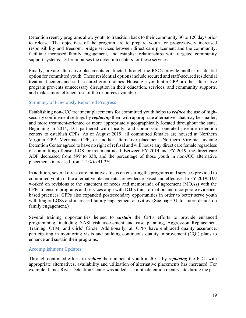Detention reentry programs allow youth to transition back to their community 30 to 120 days prior to release. The objectives of the program are to prepare youth for progressively increased responsibility and freedom, bridge services between direct care placement and the community, facilitate increased family engagement, and establish relationships with targeted community support systems. DJJ reimburses the detention centers for these services.

Finally, private alternative placements contracted through the RSCs provide another residential option for committed youth. These residential options include secured and staff-secured residential treatment centers and staff-secured group homes. Housing a youth at a CPP or other alternative program prevents unnecessary disruption in their education, services, and community supports, and makes more efficient use of the resources available.

#### Summary of Previously Reported Progress

Establishing non-JCC treatment placements for committed youth helps to *reduce* the use of highsecurity confinement settings by *replacing* them with appropriate alternatives that may be smaller, and more treatment-oriented or more appropriately geographically located throughout the state. Beginning in 2014, DJJ partnered with locally- and commission-operated juvenile detention centers to establish CPPs. As of August 2019, all committed females are housed at Northern Virginia CPP, Merrimac CPP, or another alternative placement. Northern Virginia Juvenile Detention Center agreed to have no right of refusal and will house any direct care female regardless of committing offense, LOS, or treatment need. Between FY 2014 and FY 2019, the direct care ADP decreased from 599 to 338, and the percentage of those youth in non-JCC alternative placements increased from 1.2% to 41.3%.

In addition, several direct care initiatives focus on ensuring the programs and services provided to committed youth in the alternative placements are evidence-based and effective. In FY 2019, DJJ worked on revisions to the statement of needs and memoranda of agreement (MOAs) with the CPPs to ensure programs and services align with DJJ's transformation and incorporate evidencebased practices. CPPs also expanded postsecondary opportunities in order to better serve youth with longer LOSs and increased family engagement activities. (See page 31 for more details on family engagement.)

Several training opportunities helped to *sustain* the CPPs efforts to provide enhanced programming, including YASI risk assessment and case planning, Aggression Replacement Training, CTM, and Girls' Circle. Additionally, all CPPs have embraced quality assurance, participating in monitoring visits and building continuous quality improvement (CQI) plans to enhance and sustain their programs.

#### Accomplishment Updates

Through continued efforts to *reduce* the number of youth in JCCs by *replacing* the JCCs with appropriate alternatives, availability and utilization of alternative placements has increased. For example, James River Detention Center was added as a ninth detention reentry site during the past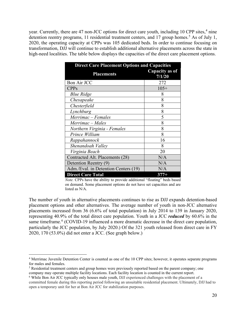year. Currently, there are [4](#page-27-0)7 non-JCC options for direct care youth, including 10 CPP sites,<sup>4</sup> nine detention reentry programs, 11 residential treatment centers, and 17 group homes.<sup>[5](#page-27-1)</sup> As of July 1, 2020, the operating capacity at CPPs was 105 dedicated beds. In order to continue focusing on transformation, DJJ will continue to establish additional alternative placements across the state in high-need localities. The table below displays the capacities of the direct care placement options.

| <b>Direct Care Placement Options and Capacities</b> |                          |  |  |
|-----------------------------------------------------|--------------------------|--|--|
| <b>Placements</b>                                   | Capacity as of<br>7/1/20 |  |  |
| Bon Air JCC                                         | 272                      |  |  |
| CPPs                                                | $105+$                   |  |  |
| <b>Blue Ridge</b>                                   | 8                        |  |  |
| Chesapeake                                          | 8                        |  |  |
| Chesterfield                                        | 8                        |  |  |
| Lynchburg                                           | 8                        |  |  |
| Merrimac – Females                                  | 5                        |  |  |
| Merrimac – Males                                    | 8                        |  |  |
| Northern Virginia - Females                         | 8                        |  |  |
| Prince William                                      | 8                        |  |  |
| Rappahannock                                        | 16                       |  |  |
| Shenandoah Valley                                   | 8                        |  |  |
| Virginia Beach                                      | 20                       |  |  |
| Contracted Alt. Placements (28)                     | N/A                      |  |  |
| Detention Reentry (9)                               | N/A                      |  |  |
| Adm./Eval. in Detention Centers (19)                | N/A                      |  |  |
| <b>Direct Care Total</b><br>$377+$                  |                          |  |  |

*Note.* CPPs have the ability to provide additional "floating" beds based on demand. Some placement options do not have set capacities and are listed as N/A.

The number of youth in alternative placements continues to rise as DJJ expands detention-based placement options and other alternatives. The average number of youth in non-JCC alternative placements increased from 36 (6.6% of total population) in July 2014 to 139 in January 2020, representing 40.9% of the total direct care population. Youth in a JCC *reduced* by 60.6% in the same timeframe.<sup>[6](#page-27-2)</sup> (COVID-19 influenced a more dramatic decrease in the direct care population, particularly the JCC population, by July 2020.) Of the 321 youth released from direct care in FY 2020, 170 (53.0%) did not enter a JCC. (See graph below.)

<span id="page-27-1"></span><sup>5</sup> Residential treatment centers and group homes were previously reported based on the parent company; one company may operate multiple facility locations. Each facility location is counted in the current report.

<span id="page-27-0"></span> <sup>4</sup> Merrimac Juvenile Detention Center is counted as one of the 10 CPP sites; however, it operates separate programs for males and females.

<span id="page-27-2"></span><sup>6</sup> While Bon Air JCC typically only houses male youth, DJJ experienced challenges with the placement of a committed female during this reporting period following an unsuitable residential placement. Ultimately, DJJ had to open a temporary unit for her at Bon Air JCC for stabilization purposes.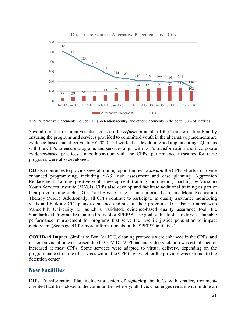

Direct Care Youth in Alternative Placements and JCCs

*Note.* Alternative placements include CPPs, detention reentry, and other placements in the continuum of services.

Several direct care initiatives also focus on the *reform* principle of the Transformation Plan by ensuring the programs and services provided to committed youth in the alternative placements are evidence-based and effective. In FY 2020, DJJ worked on developing and implementing CQI plans with the CPPs to ensure programs and services align with DJJ's transformation and incorporate evidence-based practices. In collaboration with the CPPs, performance measures for these programs were also developed.

DJJ also continues to provide several training opportunities to *sustain* the CPPs efforts to provide enhanced programming, including YASI risk assessment and case planning, Aggression Replacement Training, positive youth development, training and ongoing coaching by Missouri Youth Services Institute (MYSI). CPPs also develop and facilitate additional training as part of their programming such as Girls' and Boys' Circle, trauma-informed care, and Moral Reconation Therapy (MRT). Additionally, all CPPs continue to participate in quality assurance monitoring visits and building CQI plans to enhance and sustain their programs. DJJ also partnered with Vanderbilt University to launch a validated, evidence-based quality assurance tool, the Standardized Program Evaluation Protocol or SPEP™. The goal of this tool is to drive sustainable performance improvement for programs that serve the juvenile justice population to impact recidivism. (See page 44 for more information about the SPEP™ initiative.)

**COVID-19 Impact:** Similar to Bon Air JCC, cleaning protocols were enhanced in the CPPs, and in-person visitation was ceased due to COVID-19. Phone and video visitation was established or increased at most CPPs. Some services were adapted to virtual delivery, depending on the programmatic structure of services within the CPP (e.g., whether the provider was external to the detention center).

#### **New Facilities**

DJJ's Transformation Plan includes a vision of *replacing* the JCCs with smaller, treatmentoriented facilities, closer to the communities where youth live. Challenges remain with finding an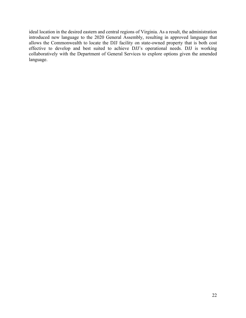ideal location in the desired eastern and central regions of Virginia. As a result, the administration introduced new language to the 2020 General Assembly, resulting in approved language that allows the Commonwealth to locate the DJJ facility on state-owned property that is both cost effective to develop and best suited to achieve DJJ's operational needs. DJJ is working collaboratively with the Department of General Services to explore options given the amended language.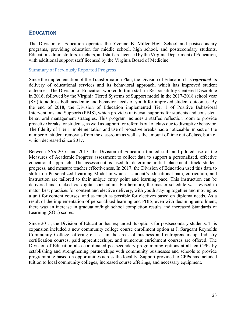## <span id="page-30-0"></span>**EDUCATION**

The Division of Education operates the Yvonne B. Miller High School and postsecondary programs, providing education for middle school, high school, and postsecondary students. Education administrators, teachers, and staff are licensed by the Virginia Department of Education, with additional support staff licensed by the Virginia Board of Medicine.

#### Summary of Previously Reported Progress

Since the implementation of the Transformation Plan, the Division of Education has *reformed* its delivery of educational services and its behavioral approach, which has improved student outcomes. The Division of Education worked to train staff in Responsibility Centered Discipline in 2016, followed by the Virginia Tiered Systems of Support model in the 2017-2018 school year (SY) to address both academic and behavior needs of youth for improved student outcomes. By the end of 2018, the Division of Education implemented Tier 1 of Positive Behavioral Interventions and Supports (PBIS), which provides universal supports for students and consistent behavioral management strategies. This program includes a staffed reflection room to provide proactive breaks for students, as well as support for referrals out of class due to disruptive behavior. The fidelity of Tier 1 implementation and use of proactive breaks had a noticeable impact on the number of student removals from the classroom as well as the amount of time out of class, both of which decreased since 2017.

Between SYs 2016 and 2017, the Division of Education trained staff and piloted use of the Measures of Academic Progress assessment to collect data to support a personalized, effective educational approach. The assessment is used to determine initial placement, track student progress, and measure teacher effectiveness. In 2017, the Division of Education used this data to shift to a Personalized Learning Model in which a student's educational path, curriculum, and instruction are tailored to their unique entry point and learning pace. This instruction can be delivered and tracked via digital curriculum. Furthermore, the master schedule was revised to match best practices for content and elective delivery, with youth staying together and moving as a unit for content courses, and as much as possible for electives based on diploma needs. As a result of the implementation of personalized learning and PBIS, even with declining enrollment, there was an increase in graduation/high school completion results and increased Standards of Learning (SOL) scores.

Since 2015, the Division of Education has expanded its options for postsecondary students. This expansion included a new community college course enrollment option at J. Sargeant Reynolds Community College, offering classes in the areas of business and entrepreneurship. Industry certification courses, paid apprenticeships, and numerous enrichment courses are offered. The Division of Education also coordinated postsecondary programming options at all ten CPPs by establishing and strengthening partnerships with community businesses and schools to provide programming based on opportunities across the locality. Support provided to CPPs has included tuition to local community colleges, increased course offerings, and necessary equipment.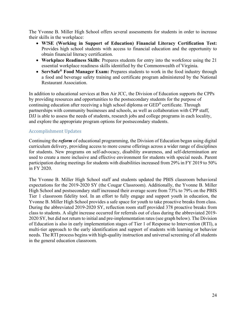The Yvonne B. Miller High School offers several assessments for students in order to increase their skills in the workplace:

- **W!SE (Working in Support of Education) Financial Literacy Certification Test:** Provides high school students with access to financial education and the opportunity to obtain financial literacy certification.
- **Workplace Readiness Skills**: Prepares students for entry into the workforce using the 21 essential workplace readiness skills identified by the Commonwealth of Virginia.
- **ServSafe<sup>®</sup> Food Manager Exam:** Prepares students to work in the food industry through a food and beverage safety training and certificate program administered by the National Restaurant Association.

In addition to educational services at Bon Air JCC, the Division of Education supports the CPPs by providing resources and opportunities to the postsecondary students for the purpose of continuing education after receiving a high school diploma or GED® certificate. Through partnerships with community businesses and schools, as well as collaboration with CPP staff, DJJ is able to assess the needs of students, research jobs and college programs in each locality, and explore the appropriate program options for postsecondary students.

#### Accomplishment Updates

Continuing the *reform* of educational programming, the Division of Education began using digital curriculum delivery, providing access to more course offerings across a wider range of disciplines for students. New programs on self-advocacy, disability awareness, and self-determination are used to create a more inclusive and effective environment for students with special needs. Parent participation during meetings for students with disabilities increased from 29% in FY 2019 to 50% in FY 2020.

The Yvonne B. Miller High School staff and students updated the PBIS classroom behavioral expectations for the 2019-2020 SY (the Cougar Classroom). Additionally, the Yvonne B. Miller High School and postsecondary staff increased their average score from 73% to 79% on the PBIS Tier 1 classroom fidelity tool. In an effort to fully engage and support youth in education, the Yvonne B. Miller High School provides a safe space for youth to take proactive breaks from class. During the abbreviated 2019-2020 SY, reflection room staff provided 378 proactive breaks from class to students. A slight increase occurred for referrals out of class during the abbreviated 2019- 2020 SY, but did not return to initial and pre-implementation rates (see graph below). The Division of Education is also in early implementation stages of Tier 1 of Response to Intervention (RTI), a multi-tier approach to the early identification and support of students with learning or behavior needs. The RTI process begins with high-quality instruction and universal screening of all students in the general education classroom.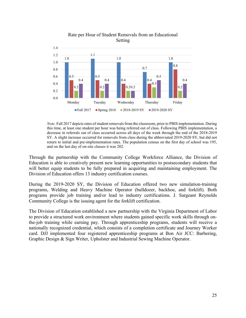

Rate per Hour of Student Removals from an Educational Setting

*Note.* Fall 2017 depicts rates of student removals from the classroom, prior to PBIS implementation. During this time, at least one student per hour was being referred out of class. Following PBIS implementation, a decrease in referrals out of class occurred across all days of the week through the end of the 2018-2019 SY. A slight increase occurred for removals from class during the abbreviated 2019-2020 SY, but did not return to initial and pre-implementation rates. The population census on the first day of school was 195, and on the last day of on-site classes it was 202.

Through the partnership with the Community College Workforce Alliance, the Division of Education is able to creatively present new learning opportunities to postsecondary students that will better equip students to be fully prepared in acquiring and maintaining employment. The Division of Education offers 13 industry certification courses.

During the 2019-2020 SY, the Division of Education offered two new simulation-training programs, Welding and Heavy Machine Operator (bulldozer, backhoe, and forklift). Both programs provide job training and/or lead to industry certifications. J. Sargeant Reynolds Community College is the issuing agent for the forklift certification.

The Division of Education established a new partnership with the Virginia Department of Labor to provide a structured work environment where students gained specific work skills through onthe-job training while earning pay. Through apprenticeship programs, students will receive a nationally recognized credential, which consists of a completion certificate and Journey Worker card. DJJ implemented four registered apprenticeship programs at Bon Air JCC: Barbering, Graphic Design & Sign Writer, Upholster and Industrial Sewing Machine Operator.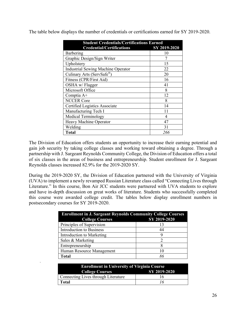The table below displays the number of credentials or certifications earned for SY 2019-2020.

| <b>Student Credentials/Certifications Earned</b> |              |  |  |
|--------------------------------------------------|--------------|--|--|
| <b>Credential/Certifications</b>                 | SY 2019-2020 |  |  |
| Barbering                                        | 10           |  |  |
| Graphic Design/Sign Writer                       |              |  |  |
| Upholstery                                       | 15           |  |  |
| <b>Industrial Sewing Machine Operator</b>        | 22           |  |  |
| Culinary Arts (ServSafe®)                        | 20           |  |  |
| Fitness (CPR/First Aid)                          | 16           |  |  |
| OSHA w/ Flagger                                  | 41           |  |  |
| Microsoft Office                                 | 8            |  |  |
| Comptia A+                                       | 12           |  |  |
| <b>NCCER Core</b>                                | 8            |  |  |
| Certified Logistics Associate                    | 14           |  |  |
| Manufacturing Tech I                             | 11           |  |  |
| <b>Medical Terminology</b>                       | 4            |  |  |
| Heavy Machine Operator                           | 47           |  |  |
| Welding                                          | 31           |  |  |
| <b>Total</b>                                     | 266          |  |  |

The Division of Education offers students an opportunity to increase their earning potential and gain job security by taking college classes and working toward obtaining a degree. Through a partnership with J. Sargeant Reynolds Community College, the Division of Education offers a total of six classes in the areas of business and entrepreneurship. Student enrollment for J. Sargeant Reynolds classes increased 82.9% for the 2019-2020 SY.

During the 2019-2020 SY, the Division of Education partnered with the University of Virginia (UVA) to implement a newly revamped Russian Literature class called "Connecting Lives through Literature." In this course, Bon Air JCC students were partnered with UVA students to explore and have in-depth discussion on great works of literature. Students who successfully completed this course were awarded college credit. The tables below display enrollment numbers in postsecondary courses for SY 2019-2020.

| <b>Enrollment in J. Sargeant Reynolds Community College Courses</b> |              |  |  |
|---------------------------------------------------------------------|--------------|--|--|
| <b>College Courses</b>                                              | SY 2019-2020 |  |  |
| Principles of Supervision                                           |              |  |  |
| <b>Introduction to Business</b>                                     | 44           |  |  |
| Introduction to Marketing                                           |              |  |  |
| Sales & Marketing                                                   |              |  |  |
| Entrepreneurship                                                    |              |  |  |
| Human Resource Management                                           | 10           |  |  |
| Total                                                               |              |  |  |

| <b>Enrollment in University of Virginia Course</b> |                     |  |  |  |
|----------------------------------------------------|---------------------|--|--|--|
| <b>College Courses</b>                             | <b>SY 2019-2020</b> |  |  |  |
| Connecting Lives through Literature                | 16                  |  |  |  |
| Total                                              | 16                  |  |  |  |

.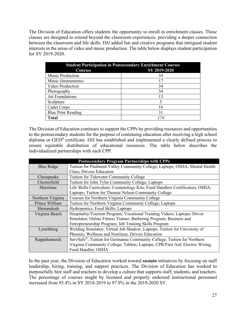The Division of Education offers students the opportunity to enroll in enrichment classes. These classes are designed to extend beyond the classroom experiences, providing a deeper connection between the classroom and life skills. DJJ added fun and creative programs that intrigued student interests in the areas of video and music production. The table below displays student participation for SY 2019-2020.

| <b>Student Participation in Postsecondary Enrichment Courses</b> |              |  |  |  |
|------------------------------------------------------------------|--------------|--|--|--|
| <b>Courses</b>                                                   | SY 2019-2020 |  |  |  |
| Music Production                                                 | 34           |  |  |  |
| Music (Instruments)                                              | 17           |  |  |  |
| Video Production                                                 | 34           |  |  |  |
| Photography                                                      | 34           |  |  |  |
| <b>Art Foundations</b>                                           | 13           |  |  |  |
| Sculpture                                                        | 5            |  |  |  |
| Cadet Corps                                                      | 16           |  |  |  |
| <b>Blue Print Reading</b>                                        | 31           |  |  |  |
| <b>Total</b>                                                     | 174          |  |  |  |

The Division of Education continues to support the CPPs by providing resources and opportunities to the postsecondary students for the purpose of continuing education after receiving a high school diploma or GED® certificate. DJJ has established and implemented a clearly defined process to ensure equitable distribution of educational resources. The table below describes the individualized partnerships with each CPP.

|                   | <b>Postsecondary Program Partnerships with CPPs</b>                                  |
|-------------------|--------------------------------------------------------------------------------------|
| <b>Blue Ridge</b> | Tuition for Piedmont Valley Community College; Laptops; OSHA; Mental Health          |
|                   | Class; Drivers Education                                                             |
| Chesapeake        | Tuition for Tidewater Community College                                              |
| Chesterfield      | Tuition for John Tyler Community College; Laptops                                    |
| Merrimac          | Life Skills Curriculum; Cosmetology Kits; Food Handlers Certification; OSHA;         |
|                   | Laptops; Tuition for Thomas Nelson Community College                                 |
| Northern Virginia | Courses for Northern Virginia Community College                                      |
| Prince William    | Tuition for Northern Virginia Community College; Laptops                             |
| Shenandoah        | Hydroponics; Food Skills; Laptops                                                    |
| Virginia Beach    | Hospitality/Tourism Program; Vocational Training Videos; Laptops; Driver             |
|                   | Simulator; Online Fitness Trainer; Barbering Program; Business and                   |
|                   | Entrepreneurship Program; Job Training Skills Program                                |
| Lynchburg         | Welding Simulator; Virtual Job Shadow; Laptops; Tuition for University of            |
|                   | Phoenix; Wellness and Nutrition; Drivers Education                                   |
| Rappahannock      | ServSafe <sup>®</sup> ; Tuition for Germanna Community College; Tuition for Northern |
|                   | Virginia Community College; Tablets; Laptops; CPR/First Aid; Electric Wiring;        |
|                   | Food Handler; OSHA                                                                   |

In the past year, the Division of Education worked toward *sustain* initiatives by focusing on staff leadership, hiring, training, and support practices. The Division of Education has worked to purposefully hire staff and teachers to develop a culture that supports staff, students, and teachers. The percentage of courses taught by licensed and properly endorsed instructional personnel increased from 93.4% in SY 2018-2019 to 97.9% in the 2019-2020 SY.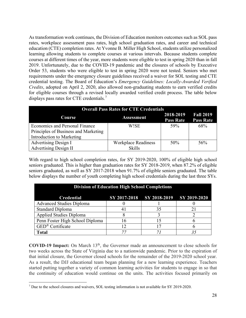As transformation work continues, the Division of Education monitors outcomes such as SOL pass rates, workplace assessment pass rates, high school graduation rates, and career and technical education (CTE) completion rates. At Yvonne B. Miller High School, students utilize personalized learning allowing students to complete courses at various intervals. Because students complete courses at different times of the year, more students were eligible to test in spring 2020 than in fall 2019. Unfortunately, due to the COVID-19 pandemic and the closures of schools by Executive Order 53, students who were eligible to test in spring 2020 were not tested. Seniors who met requirements under the emergency closure guidelines received a waiver for SOL testing and CTE credential testing. The Board of Education's *Emergency Guidelines: Locally-Awarded Verified Credits*, adopted on April 2, 2020, also allowed non-graduating students to earn verified credits for eligible courses through a revised locally awarded verified credit process. The table below displays pass rates for CTE credentials.<sup>[7](#page-35-0)</sup>

| <b>Overall Pass Rates for CTE Credentials</b> |                            |                               |                                      |  |  |
|-----------------------------------------------|----------------------------|-------------------------------|--------------------------------------|--|--|
| Course<br><b>Assessment</b>                   |                            | 2018-2019<br><b>Pass Rate</b> | <b>Fall 2019</b><br><b>Pass Rate</b> |  |  |
| <b>Economics and Personal Finance</b>         | W!SE                       | 59%                           | 68%                                  |  |  |
| Principles of Business and Marketing          |                            |                               |                                      |  |  |
| Introduction to Marketing                     |                            |                               |                                      |  |  |
| Advertising Design I                          | <b>Workplace Readiness</b> | 50%                           | 56%                                  |  |  |
| <b>Advertising Design II</b>                  | <b>Skills</b>              |                               |                                      |  |  |

With regard to high school completion rates, for SY 2019-2020, 100% of eligible high school seniors graduated. This is higher than graduation rates for SY 2018-2019, when 87.2% of eligible seniors graduated, as well as SY 2017-2018 when 91.7% of eligible seniors graduated. The table below displays the number of youth completing high school credentials during the last three SYs.

| <b>Division of Education High School Completions</b>        |     |    |  |  |  |  |  |
|-------------------------------------------------------------|-----|----|--|--|--|--|--|
| SY 2017-2018 SY 2018-2019 SY 2019-2020<br><b>Credential</b> |     |    |  |  |  |  |  |
| <b>Advanced Studies Diploma</b>                             |     |    |  |  |  |  |  |
| <b>Standard Diploma</b>                                     |     | 35 |  |  |  |  |  |
| <b>Applied Studies Diploma</b>                              |     |    |  |  |  |  |  |
| Penn Foster High School Diploma                             | ' რ | I۶ |  |  |  |  |  |
| GED <sup>®</sup> Certificate                                |     |    |  |  |  |  |  |
| <b>Total</b>                                                |     |    |  |  |  |  |  |

**COVID-19 Impact:** On March 13<sup>th</sup>, the Governor made an announcement to close schools for two weeks across the State of Virginia due to a nationwide pandemic. Prior to the expiration of that initial closure, the Governor closed schools for the remainder of the 2019-2020 school year. As a result, the DJJ educational team began planning for a new learning experience. Teachers started putting together a variety of common learning activities for students to engage in so that the continuity of education would continue on the units. The activities focused primarily on

<span id="page-35-0"></span> <sup>7</sup> Due to the school closures and waivers, SOL testing information is not available for SY 2019-2020.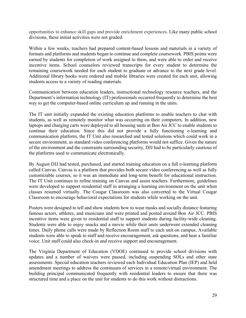opportunities to enhance skill gaps and provide enrichment experiences. Like many public school divisions, these initial activities were not graded.

Within a few weeks, teachers had prepared content-based lessons and materials in a variety of formats and platforms and students began to continue and complete coursework. PBIS points were earned by students for completion of work assigned to them, and were able to order and receive incentive items. School counselors reviewed transcripts for every student to determine the remaining coursework needed for each student to graduate or advance to the next grade level. Additional library books were ordered and mobile libraries were created for each unit, allowing students access to a variety of reading materials.

Communication between education leaders, instructional technology resource teachers, and the Department's information technology (IT) professionals occurred frequently to determine the best way to get the computer-based online curriculum up and running in the units.

The IT unit initially expanded the existing education platforms to enable teachers to chat with students, as well as remotely monitor what was occurring on their computers. In addition, new laptops and charging carts were deployed to all housing units at Bon Air JCC to enable students to continue their education. Since this did not provide a fully functioning e-learning and communication platform, the IT Unit also researched and tested solutions which could work in a secure environment, as standard video conferencing platforms would not suffice. Given the nature of the environment and the constraints surrounding security, DJJ had to be particularly cautious of the platforms used to communicate electronically.

By August DJJ had tested, purchased, and started training education on a full e-learning platform called Canvas. Canvas is a platform that provides both secure video conferencing as well as fully customizable courses, so it was an immediate and long-term benefit for educational instruction. The IT Unit continues to refine training on Canvas and assist teachers. Furthermore, guidelines were developed to support residential staff in arranging a learning environment on the unit when classes resumed virtually. The Cougar Classroom was also converted to the Virtual Cougar Classroom to encourage behavioral expectations for students while working on the unit.

Posters were designed to tell and show students how to wear masks and socially distance featuring famous actors, athletes, and musicians and were printed and posted around Bon Air JCC. PBIS incentive items were given to residential staff to support students during facility-wide cleaning. Students were able to enjoy snacks and a movie while their units underwent extended cleaning times. Daily phone calls were made by Reflection Room staff to each unit on campus. Available students were able to speak to staff and receive encouragement, ask questions, and hear a familiar voice. Unit staff could also check-in and receive support and encouragement.

The Virginia Department of Education (VDOE) continued to provide school divisions with updates and a number of waivers were passed, including suspending SOLs and other state assessments. Special education teachers reviewed each Individual Education Plan (IEP) and held amendment meetings to address the continuum of services in a remote/virtual environment. The building principal communicated frequently with residential leaders to ensure that there was structured time and a place on the unit for students to do this work without distractions.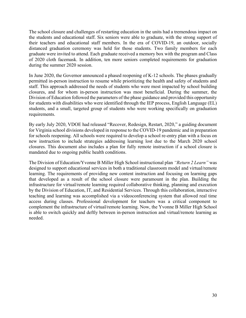The school closure and challenges of restarting education in the units had a tremendous impact on the students and educational staff. Six seniors were able to graduate, with the strong support of their teachers and educational staff members. In the era of COVID-19, an outdoor, socially distanced graduation ceremony was held for those students. Two family members for each graduate were invited to attend. Each graduate received a memory box with the program and Class of 2020 cloth facemask. In addition, ten more seniors completed requirements for graduation during the summer 2020 session.

In June 2020, the Governor announced a phased reopening of K-12 schools. The phases gradually permitted in-person instruction to resume while prioritizing the health and safety of students and staff. This approach addressed the needs of students who were most impacted by school building closures, and for whom in-person instruction was most beneficial. During the summer, the Division of Education followed the parameters of the phase guidance and provided this opportunity for students with disabilities who were identified through the IEP process, English Language (EL) students, and a small, targeted group of students who were working specifically on graduation requirements.

By early July 2020, VDOE had released "Recover, Redesign, Restart, 2020," a guiding document for Virginia school divisions developed in response to the COVID-19 pandemic and in preparation for schools reopening. All schools were required to develop a school re-entry plan with a focus on new instruction to include strategies addressing learning lost due to the March 2020 school closures. This document also includes a plan for fully remote instruction if a school closure is mandated due to ongoing public health conditions.

The Division of Education/Yvonne B Miller High School instructional plan *"Return 2 Learn"* was designed to support educational services in both a traditional classroom model and virtual/remote learning. The requirements of providing new content instruction and focusing on learning gaps that developed as a result of the school closure were paramount in the plan. Building the infrastructure for virtual/remote learning required collaborative thinking, planning and execution by the Division of Education, IT, and Residential Services. Through this collaboration, interactive teaching and learning was accomplished via a videoconferencing system that allowed real time access during classes. Professional development for teachers was a critical component to complement the infrastructure of virtual/remote learning. Now, the Yvonne B Miller High School is able to switch quickly and deftly between in-person instruction and virtual/remote learning as needed.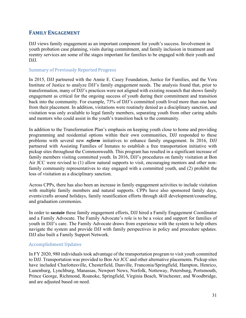# <span id="page-38-0"></span>**FAMILY ENGAGEMENT**

DJJ views family engagement as an important component for youth's success. Involvement in youth probation case planning, visits during commitment, and family inclusion in treatment and reentry services are some of the stages important for families to be engaged with their youth and DJJ.

#### Summary of Previously Reported Progress

In 2015, DJJ partnered with the Annie E. Casey Foundation, Justice for Families, and the Vera Institute of Justice to analyze DJJ's family engagement needs. The analysis found that, prior to transformation, many of DJJ's practices were not aligned with existing research that shows family engagement as critical for the ongoing success of youth during their commitment and transition back into the community. For example, 73% of DJJ's committed youth lived more than one hour from their placement. In addition, visitations were routinely denied as a disciplinary sanction, and visitation was only available to legal family members, separating youth from other caring adults and mentors who could assist in the youth's transition back to the community.

In addition to the Transformation Plan's emphasis on keeping youth close to home and providing programming and residential options within their own communities, DJJ responded to these problems with several new *reform* initiatives to enhance family engagement. In 2016, DJJ partnered with Assisting Families of Inmates to establish a free transportation initiative with pickup sites throughout the Commonwealth. This program has resulted in a significant increase of family members visiting committed youth. In 2016, DJJ's procedures on family visitation at Bon Air JCC were revised to (1) allow natural supports to visit, encouraging mentors and other nonfamily community representatives to stay engaged with a committed youth, and (2) prohibit the loss of visitation as a disciplinary sanction.

Across CPPs, there has also been an increase in family engagement activities to include visitation with multiple family members and natural supports. CPPs have also sponsored family days, events/crafts around holidays, family reunification efforts through skill development/counseling, and graduation ceremonies.

In order to *sustain* these family engagement efforts, DJJ hired a Family Engagement Coordinator and a Family Advocate. The Family Advocate's role is to be a voice and support for families of youth in DJJ's care. The Family Advocate draws from experience with the system to help others navigate the system and provide DJJ with family perspectives in policy and procedure updates. DJJ also built a Family Support Network.

#### Accomplishment Updates

In FY 2020, 980 individuals took advantage of the transportation program to visit youth committed to DJJ. Transportation was provided to Bon Air JCC and other alternative placements. Pickup sites have included Charlottesville, Chesterfield, Danville, Franconia/Springfield, Hampton, Henrico, Lunenburg, Lynchburg, Manassas, Newport News, Norfolk, Nottoway, Petersburg, Portsmouth, Prince George, Richmond, Roanoke, Springfield, Virginia Beach, Winchester, and Woodbridge, and are adjusted based on need.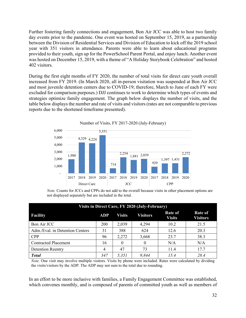Further fostering family connections and engagement, Bon Air JCC was able to host two family day events prior to the pandemic. One event was hosted on September 15, 2019, as a partnership between the Division of Residential Services and Division of Education to kick off the 2019 school year with 351 visitors in attendance. Parents were able to learn about educational programs provided to their youth, sign up for the PowerSchool Parent Portal, and enjoy lunch. Another event was hosted on December 15, 2019, with a theme of "A Holiday Storybook Celebration" and hosted 402 visitors.

During the first eight months of FY 2020, the number of total visits for direct care youth overall increased from FY 2019. (In March 2020, all in-person visitation was suspended at Bon Air JCC and most juvenile detention centers due to COVID-19; therefore, March to June of each FY were excluded for comparison purposes.) DJJ continues to work to determine which types of events and strategies optimize family engagement. The graph below displays the number of visits, and the table below displays the number and rate of visits and visitors (rates are not comparable to previous reports due to the shortened timeframe presented).



*Note.* Counts for JCCs and CPPs do not add to the overall because visits in other placement options are not displayed separately but are included in the total.

| <b>Visits in Direct Care, FY 2020 (July-February)</b> |            |               |                 |                                 |                                   |  |
|-------------------------------------------------------|------------|---------------|-----------------|---------------------------------|-----------------------------------|--|
| <b>Facility</b>                                       | <b>ADP</b> | <b>Visits</b> | <b>Visitors</b> | <b>Rate of</b><br><b>Visits</b> | <b>Rate of</b><br><b>Visitors</b> |  |
| Bon Air JCC                                           | 200        | 2,039         | 4,294           | 10.2                            | 21.5                              |  |
| Adm./Eval. in Detention Centers                       | 31         | 388           | 624             | 12.6                            | 20.3                              |  |
| <b>CPP</b>                                            | 96         | 2,272         | 3,668           | 23.7                            | 38.3                              |  |
| <b>Contracted Placement</b>                           | 16         | 0             | 0               | N/A                             | N/A                               |  |
| <b>Detention Reentry</b>                              | 4          | 47            | 73              | 11.4                            | 17.7                              |  |
| <b>Total</b>                                          | 347        | 5.351         | 9,844           | 15.4                            | 28.4                              |  |

*Note.* One visit may involve multiple visitors. Visits by phone were included. Rates were calculated by dividing the visits/visitors by the ADP. The ADP may not sum to the total due to rounding.

In an effort to be more inclusive with families, a Family Engagement Committee was established, which convenes monthly, and is composed of parents of committed youth as well as members of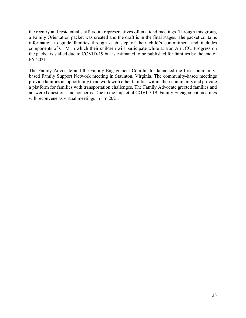the reentry and residential staff; youth representatives often attend meetings. Through this group, a Family Orientation packet was created and the draft is in the final stages. The packet contains information to guide families through each step of their child's commitment and includes components of CTM in which their children will participate while at Bon Air JCC. Progress on the packet is stalled due to COVID-19 but is estimated to be published for families by the end of FY 2021.

The Family Advocate and the Family Engagement Coordinator launched the first communitybased Family Support Network meeting in Staunton, Virginia. The community-based meetings provide families an opportunity to network with other families within their community and provide a platform for families with transportation challenges. The Family Advocate greeted families and answered questions and concerns. Due to the impact of COVID-19, Family Engagement meetings will reconvene as virtual meetings in FY 2021.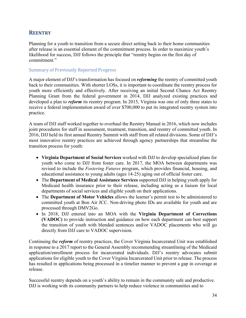# <span id="page-41-0"></span>**REENTRY**

Planning for a youth to transition from a secure direct setting back to their home communities after release is an essential element of the commitment process. In order to maximize youth's likelihood for success, DJJ follows the principle that "reentry begins on the first day of commitment."

#### Summary of Previously Reported Progress

A major element of DJJ's transformation has focused on *reforming* the reentry of committed youth back to their communities. With shorter LOSs, it is important to coordinate the reentry process for youth more efficiently and effectively. After receiving an initial Second Chance Act Reentry Planning Grant from the federal government in 2014, DJJ analyzed existing practices and developed a plan to *reform* its reentry program. In 2015, Virginia was one of only three states to receive a federal implementation award of over \$700,000 to put its integrated reentry system into practice.

A team of DJJ staff worked together to overhaul the Reentry Manual in 2016, which now includes joint procedures for staff in assessment, treatment, transition, and reentry of committed youth. In 2016, DJJ held its first annual Reentry Summit with staff from all related divisions. Some of DJJ's most innovative reentry practices are achieved through agency partnerships that streamline the transition process for youth:

- **Virginia Department of Social Services** worked with DJJ to develop specialized plans for youth who come to DJJ from foster care. In 2017, the MOA between departments was revised to include the *Fostering Futures* program, which provides financial, housing, and educational assistance to young adults (ages 14-25) aging out of official foster care.
- The **Department of Medical Assistance Services** supported DJJ in helping youth apply for Medicaid health insurance prior to their release, including acting as a liaison for local departments of social services and eligible youth on their applications.
- The **Department of Motor Vehicles** allows the learner's permit test to be administered to committed youth at Bon Air JCC. Non-driving photo IDs are available for youth and are processed through DMV2Go.
- In 2018, DJJ entered into an MOA with the **Virginia Department of Corrections (VADOC)** to provide instruction and guidance on how each department can best support the transition of youth with blended sentences and/or VADOC placements who will go directly from DJJ care to VADOC supervision.

Continuing the *reform* of reentry practices, the Cover Virginia Incarcerated Unit was established in response to a 2017 report to the General Assembly recommending streamlining of the Medicaid application/enrollment process for incarcerated individuals. DJJ's reentry advocates submit applications for eligible youth to the Cover Virginia Incarcerated Unit prior to release. The process has resulted in applications being processed in a timelier manner to prevent a gap in coverage at release.

Successful reentry depends on a youth's ability to remain in the community safe and productive. DJJ is working with its community partners to help reduce violence in communities and to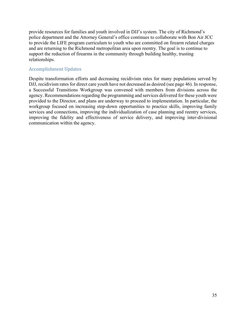provide resources for families and youth involved in DJJ's system. The city of Richmond's police department and the Attorney General's office continues to collaborate with Bon Air JCC to provide the LIFE program curriculum to youth who are committed on firearm related charges and are returning to the Richmond metropolitan area upon reentry. The goal is to continue to support the reduction of firearms in the community through building healthy, trusting relationships.

#### Accomplishment Updates

Despite transformation efforts and decreasing recidivism rates for many populations served by DJJ, recidivism rates for direct care youth have not decreased as desired (see page 46). In response, a Successful Transitions Workgroup was convened with members from divisions across the agency. Recommendations regarding the programming and services delivered for these youth were provided to the Director, and plans are underway to proceed to implementation. In particular, the workgroup focused on increasing step-down opportunities to practice skills, improving family services and connections, improving the individualization of case planning and reentry services, improving the fidelity and effectiveness of service delivery, and improving inter-divisional communication within the agency.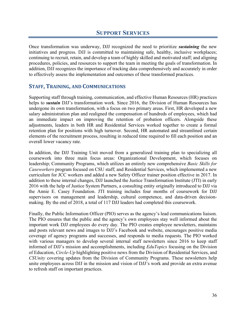# **SUPPORT SERVICES**

<span id="page-43-0"></span>Once transformation was underway, DJJ recognized the need to prioritize *sustaining* the new initiatives and progress. DJJ is committed to maintaining safe, healthy, inclusive workplaces; continuing to recruit, retain, and develop a team of highly skilled and motivated staff; and aligning procedures, policies, and resources to support the team in meeting the goals of transformation. In addition, DJJ recognizes the importance of tracking data comprehensively and accurately in order to effectively assess the implementation and outcomes of these transformed practices.

#### <span id="page-43-1"></span>**STAFF, TRAINING, AND COMMUNICATIONS**

Supporting staff through training, communication, and effective Human Resources (HR) practices helps to *sustain* DJJ's transformation work. Since 2016, the Division of Human Resources has undergone its own transformation, with a focus on two primary areas. First, HR developed a new salary administration plan and realigned the compensation of hundreds of employees, which had an immediate impact on improving the retention of probation officers. Alongside these adjustments, leaders in both HR and Residential Services worked together to create a formal retention plan for positions with high turnover. Second, HR automated and streamlined certain elements of the recruitment process, resulting in reduced time required to fill each position and an overall lower vacancy rate.

In addition, the DJJ Training Unit moved from a generalized training plan to specializing all coursework into three main focus areas: Organizational Development, which focuses on leadership; Community Programs, which utilizes an entirely new comprehensive *Basic Skills for Caseworkers* program focused on CSU staff; and Residential Services, which implemented a new curriculum for JCC workers and added a new Safety Officer trainer position effective in 2017. In addition to these internal changes, DJJ launched the Justice Transformation Institute (JTI) in early 2016 with the help of Justice System Partners, a consulting entity originally introduced to DJJ via the Annie E. Casey Foundation. JTI training includes four months of coursework for DJJ supervisors on management and leadership, cultural competence, and data-driven decisionmaking. By the end of 2018, a total of 117 DJJ leaders had completed this coursework.

Finally, the Public Information Officer (PIO) serves as the agency's lead communications liaison. The PIO ensures that the public and the agency's own employees stay well informed about the important work DJJ employees do every day. The PIO creates employee newsletters, maintains and posts relevant news and images to DJJ's Facebook and website, encourages positive media coverage of agency programs and successes, and responds to media requests. The PIO worked with various managers to develop several internal staff newsletters since 2016 to keep staff informed of DJJ's mission and accomplishments, including *EduTopics* focusing on the Division of Education, *Circle-Up* highlighting positive news from the Division of Residential Services, and *CSUnity* covering updates from the Division of Community Programs. These newsletters help unite employees across DJJ in the mission and vision of DJJ's work and provide an extra avenue to refresh staff on important practices.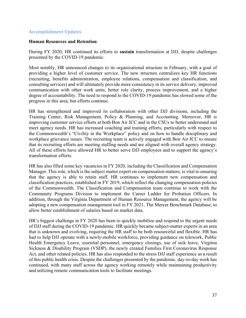#### Accomplishment Updates

#### **Human Resources and Retention**

During FY 2020, HR continued its efforts to **sustain** transformation at DJJ, despite challenges presented by the COVID-19 pandemic.

Most notably, HR announced changes to its organizational structure in February, with a goal of providing a higher level of customer service. The new structure centralizes key HR functions (recruiting, benefits administration, employee relations, compensation and classification, and consulting services) and will ultimately provide more consistency in its service delivery, improved communication with other work units, better role clarity, process improvement, and a higher degree of accountability. The need to respond to the COVID-19 pandemic has slowed some of the progress in this area, but efforts continue.

HR has strengthened and improved its collaboration with other DJJ divisions, including the Training Center, Risk Management, Policy & Planning, and Accounting. Moreover, HR is improving customer service efforts at both Bon Air JCC and in the CSUs to better understand and meet agency needs. HR has increased coaching and training efforts, particularly with respect to the Commonwealth's "Civility in the Workplace" policy and on how to handle disciplinary and workplace grievance issues. The recruiting team is actively engaged with Bon Air JCC to ensure that its recruiting efforts are meeting staffing needs and are aligned with overall agency strategy. All of these efforts have allowed HR to better serve DJJ employees and to support the agency's transformation efforts.

HR has also filled some key vacancies in FY 2020, including the Classification and Compensation Manager. This role, which is the subject matter expert on compensation matters, is vital to ensuring that the agency is able to retain staff. HR continues to implement new compensation and classification practices, established in FY 2019, which reflect the changing compensation policies of the Commonwealth. The Classification and Compensation team continue to work with the Community Programs Division to implement the Career Ladder for Probation Officers. In addition, through the Virginia Department of Human Resource Management, the agency will be adopting a new compensation management tool in FY 2021, The Mercer Benchmark Database, to allow better establishment of salaries based on market data.

HR's biggest challenge in FY 2020 has been to quickly mobilize and respond to the urgent needs of DJJ staff during the COVID-19 pandemic. HR quickly became subject-matter experts in an area that is unknown and evolving, requiring the HR staff to be both resourceful and flexible. HR has had to help DJJ operate with a newly-mobile workforce, providing guidance on telework, Public Health Emergency Leave, essential personnel, emergency closings, use of sick leave, Virginia Sickness & Disability Program (VSDP), the newly created Families First Coronavirus Response Act, and other related policies. HR has also responded to the stress DJJ staff experience as a result of this public health crisis. Despite the challenges presented by the pandemic, day-to-day work has continued, with many staff across the agency working remotely while maintaining productivity and utilizing remote communication tools to facilitate meetings.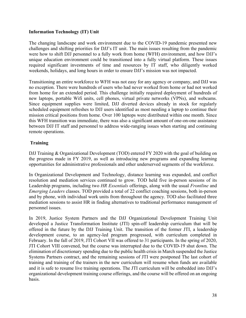#### **Information Technology (IT) Unit**

The changing landscape and work environment due to the COVID-19 pandemic presented new challenges and shifting priorities for DJJ's IT unit. The main issues resulting from the pandemic were how to shift DJJ personnel to a fully work from home (WFH) environment, and how DJJ's unique education environment could be transitioned into a fully virtual platform. These issues required significant investments of time and resources by IT staff, who diligently worked weekends, holidays, and long hours in order to ensure DJJ's mission was not impacted.

Transitioning an entire workforce to WFH was not easy for any agency or company, and DJJ was no exception. There were hundreds of users who had never worked from home or had not worked from home for an extended period. This challenge initially required deployment of hundreds of new laptops, portable Wifi units, cell phones, virtual private networks (VPNs), and webcams. Since equipment supplies were limited, DJJ diverted devices already in stock for regularly scheduled equipment refreshes to DJJ users identified as most needing a laptop to continue their mission critical positions from home. Over 100 laptops were distributed within one month. Since this WFH transition was immediate, there was also a significant amount of one-on-one assistance between DJJ IT staff and personnel to address wide-ranging issues when starting and continuing remote operations.

#### **Training**

DJJ Training & Organizational Development (TOD) entered FY 2020 with the goal of building on the progress made in FY 2019, as well as introducing new programs and expanding learning opportunities for administrative professionals and other underserved segments of the workforce.

In Organizational Development and Technology, distance learning was expanded, and conflict resolution and mediation services continued to grow. TOD held five in-person sessions of its Leadership programs, including two *HR Essentials* offerings, along with the usual *Frontline* and *Emerging Leaders* classes. TOD provided a total of 22 conflict coaching sessions, both in-person and by phone, with individual work units from throughout the agency. TOD also facilitated three mediation sessions to assist HR in finding alternatives to traditional performance management of personnel issues.

In 2019, Justice System Partners and the DJJ Organizational Development Training Unit developed a Justice Transformation Institute (JTI) spin-off leadership curriculum that will be offered in the future by the DJJ Training Unit. The transition of the former JTI, a leadership development course, to an agency-led program progressed, with curriculum completed in February. In the fall of 2019, JTI Cohort VII was offered to 31 participants. In the spring of 2020, JTI Cohort VIII convened, but the course was interrupted due to the COVID-19 shut down. The elimination of discretionary spending due to the public health crisis in March suspended the Justice Systems Partners contract, and the remaining sessions of JTI were postponed The last cohort of training and training of the trainers in the new curriculum will resume when funds are available and it is safe to resume live training operations. The JTI curriculum will be embedded into DJJ's organizational development training course offerings, and the course will be offered on an ongoing basis.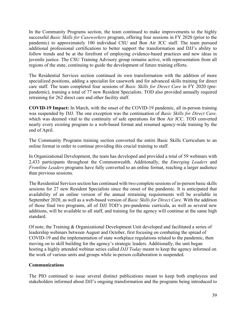In the Community Programs section, the team continued to make improvements to the highly successful *Basic Skills for Caseworkers* program, offering four sessions in FY 2020 (prior to the pandemic) to approximately 100 individual CSU and Bon Air JCC staff. The team pursued additional professional certifications to better support the transformation and DJJ's ability to follow trends and be at the forefront of employing evidence-based practices and new ideas in juvenile justice. The CSU Training Advisory group remains active, with representation from all regions of the state, continuing to guide the development of future training efforts.

The Residential Services section continued its own transformation with the addition of more specialized positions, adding a specialist for casework and for advanced skills training for direct care staff. The team completed four sessions of *Basic Skills for Direct Care* in FY 2020 (prepandemic), training a total of 77 new Resident Specialists. TOD also provided annually required retraining for 262 direct care and other facility staff.

**COVID-19 Impact:** In March, with the onset of the COVID-19 pandemic, all in-person training was suspended by DJJ. The one exception was the continuation of *Basic Skills for Direct Care,*  which was deemed vital to the continuity of safe operations for Bon Air JCC. TOD converted nearly every existing program to a web-based format and resumed agency-wide training by the end of April.

The Community Programs training section converted the entire Basic Skills Curriculum to an online format in order to continue providing this crucial training to staff.

In Organizational Development, the team has developed and provided a total of 59 webinars with 2,433 participants throughout the Commonwealth. Additionally, the *Emerging Leaders* and *Frontline Leaders* programs have fully converted to an online format, reaching a larger audience than previous sessions.

The Residential Services section has continued with two complete sessions of in-person basic skills sessions for 27 new Resident Specialists since the onset of the pandemic. It is anticipated that availability of an online version of the annual retraining requirements will be available in September 2020, as well as a web-based version of *Basic Skills for Direct Care.* With the addition of those final two programs, all of DJJ TOD's pre-pandemic curricula, as well as several new additions, will be available to all staff, and training for the agency will continue at the same high standard.

Of note, the Training & Organizational Development Unit developed and facilitated a series of leadership webinars between August and October, first focusing on combating the spread of COVID-19 and the implementation of state workplace regulations related to the pandemic, then moving on to skill building for the agency's strategic leaders. Additionally, the unit began hosting a highly attended webinar series called *DJJ Today* meant to keep the agency informed on the work of various units and groups while in-person collaboration is suspended.

#### **Communications**

The PIO continued to issue several distinct publications meant to keep both employees and stakeholders informed about DJJ's ongoing transformation and the programs being introduced to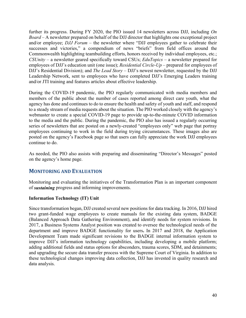further its progress. During FY 2020, the PIO issued 14 newsletters across DJJ, including *On Board* – A newsletter prepared on behalf of the DJJ director that highlights one exceptional project and/or employee; *DJJ Forum* – the newsletter where "DJJ employees gather to celebrate their successes and victories," a compendium of news "briefs" from field offices around the Commonwealth highlighting teambuilding efforts, honors received by individual employees, etc.; *CSUnity* – a newsletter geared specifically toward CSUs; *EduTopics* – a newsletter prepared for employees of DJJ's education unit (one issue); *Residential Circle-Up* – prepared for employees of DJJ's Residential Division); and *The Lead Story* – DJJ's newest newsletter, requested by the DJJ Leadership Network, sent to employees who have completed DJJ's Emerging Leaders training and/or JTI training and features articles about effective leadership.

During the COVID-19 pandemic, the PIO regularly communicated with media members and members of the public about the number of cases reported among direct care youth, what the agency has done and continues to do to ensure the health and safety of youth and staff, and respond to a steady stream of media requests about the situation. The PIO worked closely with the agency's webmaster to create a special COVID-19 page to provide up-to-the-minute COVID information to the media and the public. During the pandemic, the PIO also has issued a regularly occurring series of newsletters that are posted on a newly-created "employees only" web page that portray employees continuing to work in the field during trying circumstances. These images also are posted on the agency's Facebook page so that users can fully appreciate the work DJJ employees continue to do.

As needed, the PIO also assists with preparing and disseminating "Director's Messages" posted on the agency's home page.

#### <span id="page-47-0"></span>**MONITORING AND EVALUATION**

Monitoring and evaluating the initiatives of the Transformation Plan is an important component of *sustaining* progress and informing improvements.

#### **Information Technology (IT) Unit**

Since transformation began, DJJ created several new positions for data tracking. In 2016, DJJ hired two grant-funded wage employees to create manuals for the existing data system, BADGE (Balanced Approach Data Gathering Environment), and identify needs for system revisions. In 2017, a Business Systems Analyst position was created to oversee the technological needs of the department and improve BADGE functionality for users**.** In 2017 and 2018, the Application Development Team made significant revisions to the BADGE internal information system to improve DJJ's information technology capabilities, including developing a mobile platform; adding additional fields and status options for absconders, trauma scores, SDM, and detainments; and upgrading the secure data transfer process with the Supreme Court of Virginia. In addition to these technological changes improving data collection, DJJ has invested in quality research and data analysis.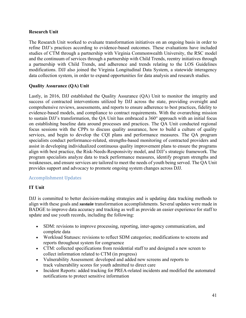#### **Research Unit**

The Research Unit worked to evaluate transformation initiatives on an ongoing basis in order to refine DJJ's practices according to evidence-based outcomes. These evaluations have included studies of CTM through a partnership with Virginia Commonwealth University, the RSC model and the continuum of services through a partnership with Child Trends, reentry initiatives through a partnership with Child Trends, and adherence and trends relating to the LOS Guidelines modifications. DJJ also joined the Virginia Longitudinal Data System, a statewide interagency data collection system, in order to expand opportunities for data analysis and research studies.

#### **Quality Assurance (QA) Unit**

Lastly, in 2016, DJJ established the Quality Assurance (QA) Unit to monitor the integrity and success of contracted interventions utilized by DJJ across the state, providing oversight and comprehensive reviews, assessments, and reports to ensure adherence to best practices, fidelity to evidence-based models, and compliance to contract requirements. With the overarching mission to sustain DJJ's transformation, the QA Unit has embraced a 360° approach with an initial focus on establishing baseline data around processes and practices. The QA Unit conducted regional focus sessions with the CPPs to discuss quality assurance, how to build a culture of quality services, and begin to develop the CQI plans and performance measures. The QA program specialists conduct performance-related, strengths-based monitoring of contracted providers and assist in developing individualized continuous quality improvement plans to ensure the programs align with best practice, the Risk-Needs-Responsivity model, and DJJ's strategic framework. The program specialists analyze data to track performance measures, identify program strengths and weaknesses, and ensure services are tailored to meet the needs of youth being served. The QA Unit provides support and advocacy to promote ongoing system changes across DJJ.

#### Accomplishment Updates

#### **IT Unit**

DJJ is committed to better decision-making strategies and is updating data tracking methods to align with these goals and *sustain* transformation accomplishments. Several updates were made in BADGE to improve data accuracy and tracking as well as provide an easier experience for staff to update and use youth records, including the following:

- SDM: revisions to improve processing, reporting, inter-agency communication, and complete data
- Workload Statuses: revisions to reflect SDM categories; modifications to screens and reports throughout system for congruence
- CTM: collected specifications from residential staff to and designed a new screen to collect information related to CTM (in progress)
- Vulnerability Assessment: developed and added new screens and reports to track vulnerability scores for youth admitted to direct care
- Incident Reports: added tracking for PREA-related incidents and modified the automated notifications to protect sensitive information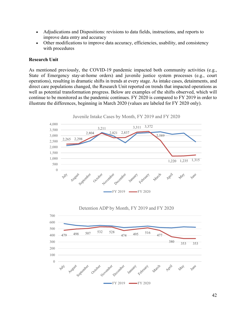- Adjudications and Dispositions: revisions to data fields, instructions, and reports to improve data entry and accuracy
- Other modifications to improve data accuracy, efficiencies, usability, and consistency with procedures

#### **Research Unit**

As mentioned previously, the COVID-19 pandemic impacted both community activities (e.g., State of Emergency stay-at-home orders) and juvenile justice system processes (e.g., court operations), resulting in dramatic shifts in trends at every stage. As intake cases, detainments, and direct care populations changed, the Research Unit reported on trends that impacted operations as well as potential transformation progress. Below are examples of the shifts observed, which will continue to be monitored as the pandemic continues. FY 2020 is compared to FY 2019 in order to illustrate the differences, beginning in March 2020 (values are labeled for FY 2020 only).

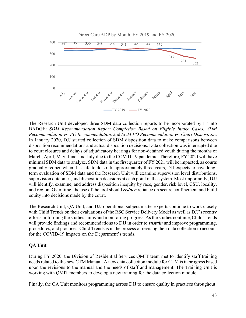

The Research Unit developed three SDM data collection reports to be incorporated by IT into BADGE: *SDM Recommendation Report Completion Based on Eligible Intake Cases, SDM Recommendation vs. PO Recommendation,* and *SDM PO Recommendation vs. Court Disposition*. In January 2020, DJJ started collection of SDM disposition data to make comparisons between disposition recommendations and actual disposition decisions. Data collection was interrupted due to court closures and delays of adjudicatory hearings for non-detained youth during the months of March, April, May, June, and July due to the COVID-19 pandemic. Therefore, FY 2020 will have minimal SDM data to analyze. SDM data in the first quarter of FY 2021 will be impacted, as courts gradually reopen when it is safe to do so. In approximately three years, DJJ expects to have longterm evaluation of SDM data and the Research Unit will examine supervision level distributions, supervision outcomes, and disposition decisions at each point in the system. Most importantly, DJJ will identify, examine, and address disposition inequity by race, gender, risk level, CSU, locality, and region. Over time, the use of the tool should *reduce* reliance on secure confinement and build equity into decisions made by the court.

The Research Unit, QA Unit, and DJJ operational subject matter experts continue to work closely with Child Trends on their evaluations of the RSC Service Delivery Model as well as DJJ's reentry efforts, informing the studies' aims and monitoring progress. As the studies continue, Child Trends will provide findings and recommendations to DJJ in order to *sustain* and improve programming, procedures, and practices. Child Trends is in the process of revising their data collection to account for the COVID-19 impacts on the Department's trends.

#### **QA Unit**

During FY 2020, the Division of Residential Services QMIT team met to identify staff training needs related to the new CTM Manual. A new data collection module for CTM is in progress based upon the revisions to the manual and the needs of staff and management. The Training Unit is working with QMIT members to develop a new training for the data collection module.

Finally, the QA Unit monitors programming across DJJ to ensure quality in practices throughout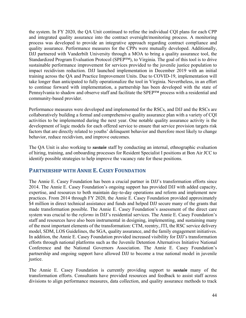the system. In FY 2020, the QA Unit continued to refine the individual CQI plans for each CPP and integrated quality assurance into the contract oversight/monitoring process. A monitoring process was developed to provide an integrative approach regarding contract compliance and quality assurance. Performance measures for the CPPs were mutually developed. Additionally, DJJ partnered with Vanderbilt University through a MOA to bring a quality assurance tool, the Standardized Program Evaluation Protocol (SPEP™), to Virginia. The goal of this tool is to drive sustainable performance improvement for services provided to the juvenile justice population to impact recidivism reduction. DJJ launched implementation in December 2019 with an initial training across the QA and Practice Improvement Units. Due to COVID-19, implementation will take longer than anticipated to fully operationalize the tool in Virginia. Nevertheless, in an effort to continue forward with implementation, a partnership has been developed with the state of Pennsylvania to shadow and observe staff and facilitate the SPEP™ process with a residential and community-based provider.

Performance measures were developed and implemented for the RSCs, and DJJ and the RSCs are collaboratively building a formal and comprehensive quality assurance plan with a variety of CQI activities to be implemented during the next year. One notable quality assurance activity is the development of logic models for each offered service to ensure that service provision targets risk factors that are directly related to youths' delinquent behavior and therefore most likely to change behavior, reduce recidivism, and improve outcomes.

The QA Unit is also working to *sustain* staff by conducting an internal, ethnographic evaluation of hiring, training, and onboarding processes for Resident Specialist I positions at Bon Air JCC to identify possible strategies to help improve the vacancy rate for these positions.

# <span id="page-51-0"></span>**PARTNERSHIP WITH ANNIE E. CASEY FOUNDATION**

The Annie E. Casey Foundation has been a crucial partner in DJJ's transformation efforts since 2014. The Annie E. Casey Foundation's ongoing support has provided DJJ with added capacity, expertise, and resources to both maintain day-to-day operations and reform and implement new practices. From 2014 through FY 2020, the Annie E. Casey Foundation provided approximately \$4 million in direct technical assistance and funds and helped DJJ secure many of the grants that made transformation possible. The Annie E. Casey Foundation's assessment of the direct care system was crucial to the *reforms* in DJJ's residential services. The Annie E. Casey Foundation's staff and resources have also been instrumental in designing, implementing, and sustaining many of the most important elements of the transformation: CTM, reentry, JTI, the RSC service delivery model, SDM, LOS Guidelines, the SGA, quality assurance, and the family engagement initiatives. In addition, the Annie E. Casey Foundation provided increased visibility for DJJ's transformation efforts through national platforms such as the Juvenile Detention Alternatives Initiative National Conference and the National Governors Association. The Annie E. Casey Foundation's partnership and ongoing support have allowed DJJ to become a true national model in juvenile justice.

The Annie E. Casey Foundation is currently providing support to *sustain* many of the transformation efforts. Consultants have provided resources and feedback to assist staff across divisions to align performance measures, data collection, and quality assurance methods to track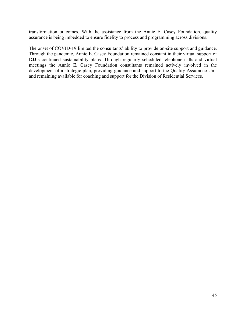transformation outcomes. With the assistance from the Annie E. Casey Foundation, quality assurance is being imbedded to ensure fidelity to process and programming across divisions.

The onset of COVID-19 limited the consultants' ability to provide on-site support and guidance. Through the pandemic, Annie E. Casey Foundation remained constant in their virtual support of DJJ's continued sustainability plans. Through regularly scheduled telephone calls and virtual meetings the Annie E. Casey Foundation consultants remained actively involved in the development of a strategic plan, providing guidance and support to the Quality Assurance Unit and remaining available for coaching and support for the Division of Residential Services.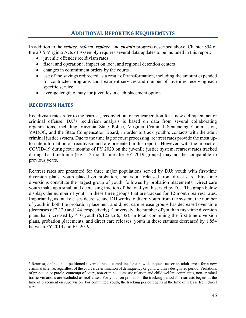<span id="page-53-0"></span>In addition to the *reduce*, *reform*, *replace*, and *sustain* progress described above, Chapter 854 of the 2019 Virginia Acts of Assembly requires several data updates to be included in this report:

- juvenile offender recidivism rates
- fiscal and operational impact on local and regional detention centers
- changes in commitment orders by the courts
- use of the savings redirected as a result of transformation, including the amount expended for contracted programs and treatment services and number of juveniles receiving each specific service
- average length of stay for juveniles in each placement option

# <span id="page-53-1"></span>**RECIDIVISM RATES**

Recidivism rates refer to the rearrest, reconviction, or reincarceration for a new delinquent act or criminal offense. DJJ's recidivism analysis is based on data from several collaborating organizations, including Virginia State Police, Virginia Criminal Sentencing Commission, VADOC, and the State Compensation Board, in order to track youth's contacts with the adult criminal justice system. Due to the time lag of court processing, rearrest rates provide the most up-to-date information on recidivism and are presented in this report.<sup>[8](#page-53-2)</sup> However, with the impact of COVID-19 during four months of FY 2020 on the juvenile justice system, rearrest rates tracked during that timeframe (e.g., 12-month rates for FY 2019 groups) may not be comparable to previous years.

Rearrest rates are presented for three major populations served by DJJ: youth with first-time diversion plans, youth placed on probation, and youth released from direct care. First-time diversions constitute the largest group of youth, followed by probation placements. Direct care youth make up a small and decreasing fraction of the total youth served by DJJ. The graph below displays the number of youth in these three groups that are tracked for 12-month rearrest rates. Importantly, as intake cases decrease and DJJ works to divert youth from the system, the number of youth in both the probation placement and direct care release groups has decreased over time (decreases of 2,120 and 144, respectively). Conversely, the number of youth in first-time diversion plans has increased by 410 youth (6,122 to 6,532). In total, combining the first-time diversion plans, probation placements, and direct care releases, youth in these statuses decreased by 1,854 between FY 2014 and FY 2019.

<span id="page-53-2"></span> <sup>8</sup> Rearrest, defined as a petitioned juvenile intake complaint for a new delinquent act or an adult arrest for a new criminal offense, regardless of the court's determination of delinquency or guilt, within a designated period. Violations of probation or parole, contempt of court, non-criminal domestic relation and child welfare complaints, non-criminal traffic violations are excluded as reoffenses. For youth on probation, the tracking period for rearrests begins at the time of placement on supervision. For committed youth, the tracking period begins at the time of release from direct care.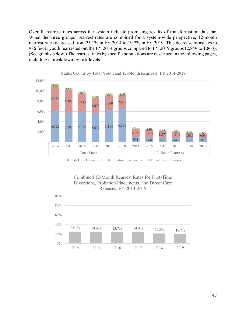Overall, rearrest rates across the system indicate promising results of transformation thus far. When the three groups' rearrest rates are combined for a system-wide perspective, 12-month rearrest rates decreased from 25.1% in FY 2014 to 19.7% in FY 2019. This decrease translates to 986 fewer youth rearrested out the FY 2014 groups compared to FY 2019 groups (2,849 to 1,863). (See graphs below.) The rearrest rates by specific populations are described in the following pages, including a breakdown by risk levels.



Status Counts by Total Youth and 12-Month Rearrests, FY 2014-2019

Combined 12-Month Rearrest Rates for First-Time Diversions, Probation Placements, and Direct Care Releases, FY 2014-2019

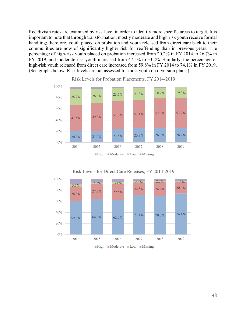Recidivism rates are examined by risk level in order to identify more specific areas to target. It is important to note that through transformation, mostly moderate and high risk youth receive formal handling; therefore, youth placed on probation and youth released from direct care back to their communities are now of significantly higher risk for reoffending than in previous years. The percentage of high-risk youth placed on probation increased from 20.2% in FY 2014 to 26.7% in FY 2019, and moderate risk youth increased from 47.5% to 53.2%. Similarly, the percentage of high-risk youth released from direct care increased from 59.8% in FY 2014 to 74.1% in FY 2019. (See graphs below. Risk levels are not assessed for most youth on diversion plans.)



Risk Levels for Probation Placements, FY 2014-2019



Risk Levels for Direct Care Releases, FY 2014-2019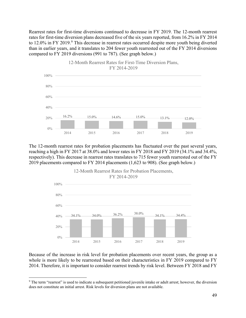Rearrest rates for first-time diversions continued to decrease in FY 2019. The 12-month rearrest rates for first-time diversion plans decreased five of the six years reported, from 16.2% in FY 2014 to 12.0% in FY 201[9](#page-56-0).<sup>9</sup> This decrease in rearrest rates occurred despite more youth being diverted than in earlier years, and it translates to 204 fewer youth rearrested out of the FY 2014 diversions compared to FY 2019 diversions (991 to 787). (See graph below.)



The 12-month rearrest rates for probation placements has fluctuated over the past several years, reaching a high in FY 2017 at 38.0% and lower rates in FY 2018 and FY 2019 (34.1% and 34.4%, respectively). This decrease in rearrest rates translates to 715 fewer youth rearrested out of the FY 2019 placements compared to FY 2014 placements (1,623 to 908). (See graph below.)



Because of the increase in risk level for probation placements over recent years, the group as a whole is more likely to be rearrested based on their characteristics in FY 2019 compared to FY 2014. Therefore, it is important to consider rearrest trends by risk level. Between FY 2018 and FY

<span id="page-56-0"></span><sup>&</sup>lt;sup>9</sup> The term "rearrest" is used to indicate a subsequent petitioned juvenile intake or adult arrest; however, the diversion does not constitute an initial arrest. Risk levels for diversion plans are not available.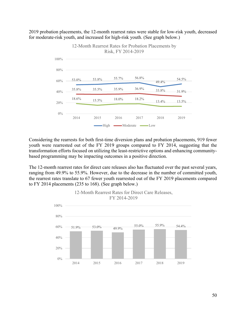2019 probation placements, the 12-month rearrest rates were stable for low-risk youth, decreased for moderate-risk youth, and increased for high-risk youth. (See graph below.)



12-Month Rearrest Rates for Probation Placements by Risk, FY 2014-2019

Considering the rearrests for both first-time diversion plans and probation placements, 919 fewer youth were rearrested out of the FY 2019 groups compared to FY 2014, suggesting that the transformation efforts focused on utilizing the least-restrictive options and enhancing communitybased programming may be impacting outcomes in a positive direction.

The 12-month rearrest rates for direct care releases also has fluctuated over the past several years, ranging from 49.9% to 55.9%. However, due to the decrease in the number of committed youth, the rearrest rates translate to 67 fewer youth rearrested out of the FY 2019 placements compared to FY 2014 placements (235 to 168). (See graph below.)



#### 12-Month Rearrest Rates for Direct Care Releases, FY 2014-2019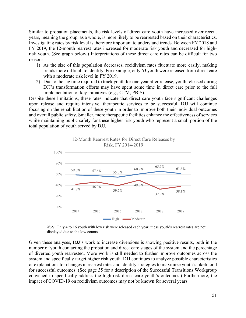Similar to probation placements, the risk levels of direct care youth have increased over recent years, meaning the group, as a whole, is more likely to be rearrested based on their characteristics. Investigating rates by risk level is therefore important to understand trends. Between FY 2018 and FY 2019, the 12-month rearrest rates increased for moderate risk youth and decreased for highrisk youth. (See graph below.) Interpretations of these direct care rates can be difficult for two reasons:

- 1) As the size of this population decreases, recidivism rates fluctuate more easily, making trends more difficult to identify. For example, only 63 youth were released from direct care with a moderate risk level in FY 2019.
- 2) Due to the lag time required to track youth for one year after release, youth released during DJJ's transformation efforts may have spent some time in direct care prior to the full implementation of key initiatives (e.g., CTM, PBIS).

Despite these limitations, these rates indicate that direct care youth face significant challenges upon release and require intensive, therapeutic services to be successful. DJJ will continue focusing on the rehabilitation of these youth in order to improve both their individual outcomes and overall public safety. Smaller, more therapeutic facilities enhance the effectiveness of services while maintaining public safety for these higher risk youth who represent a small portion of the total population of youth served by DJJ.





*Note*. Only 4 to 16 youth with low risk were released each year; these youth's rearrest rates are not displayed due to the low counts.

Given these analyses, DJJ's work to increase diversions is showing positive results, both in the number of youth contacting the probation and direct care stages of the system and the percentage of diverted youth rearrested. More work is still needed to further improve outcomes across the system and specifically target higher risk youth. DJJ continues to analyze possible characteristics or explanations for changes in rearrest rates and identify strategies to maximize youth's likelihood for successful outcomes. (See page 35 for a description of the Successful Transitions Workgroup convened to specifically address the high-risk direct care youth's outcomes.) Furthermore, the impact of COVID-19 on recidivism outcomes may not be known for several years.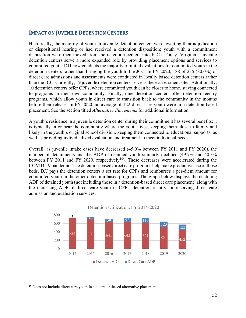### <span id="page-59-0"></span>**IMPACT ON JUVENILE DETENTION CENTERS**

Historically, the majority of youth in juvenile detention centers were awaiting their adjudication or dispositional hearing or had received a detention disposition; youth with a commitment disposition were then moved from the detention centers into JCCs. Today, Virginia's juvenile detention centers serve a more expanded role by providing placement options and services to committed youth. DJJ now conducts the majority of initial evaluations for committed youth in the detention centers rather than bringing the youth to the JCC. In FY 2020, 188 of 235 (80.0%) of direct care admissions and assessments were conducted in locally based detention centers rather than the JCC. Currently, 19 juvenile detention centers serve as these assessment sites. Additionally, 10 detention centers offer CPPs, where committed youth can be closer to home, staying connected to programs in their own community. Finally, nine detention centers offer detention reentry programs, which allow youth in direct care to transition back to the community in the months before their release. In FY 2020, an average of 122 direct care youth were in a detention-based placement. See the section titled *Alternative Placements* for additional information.

A youth's residence in a juvenile detention center during their commitment has several benefits: it is typically in or near the community where the youth lives, keeping them close to family and likely in the youth's original school division, keeping them connected to educational supports, as well as providing individualized evaluation and treatment to meet individual needs.

Overall, as juvenile intake cases have decreased (45.0% between FY 2011 and FY 2020), the number of detainments and the ADP of detained youth similarly declined (49.7% and 40.3% between FY 2011 and FY 2020, respectively<sup>[10](#page-59-1)</sup>). These decreases were accelerated during the COVID-19 pandemic. The detention-based direct care programs help make productive use of those beds. DJJ pays the detention centers a set rate for CPPs and reimburses a per-diem amount for committed youth in the other detention-based programs. The graph below displays the declining ADP of detained youth (not including those in a detention-based direct care placement) along with the increasing ADP of direct care youth in CPPs, detention reentry, or receiving direct care admission and evaluation services.



Detention Utilization, FY 2014-2020

<span id="page-59-1"></span><sup>&</sup>lt;sup>10</sup> Does not include direct care youth in a detention-based alternative placement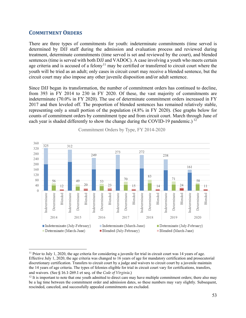#### <span id="page-60-0"></span>**COMMITMENT ORDERS**

There are three types of commitments for youth: indeterminate commitments (time served is determined by DJJ staff during the admission and evaluation process and reviewed during treatment, determinate commitments (time served is set and reviewed by the court), and blended sentences (time is served with both DJJ and VADOC). A case involving a youth who meets certain age criteria and is accused of a felony<sup>[11](#page-60-1)</sup> may be certified or transferred to circuit court where the youth will be tried as an adult; only cases in circuit court may receive a blended sentence, but the circuit court may also impose any other juvenile disposition and/or adult sentence.

Since DJJ began its transformation, the number of commitment orders has continued to decline, from 393 in FY 2014 to 230 in FY 2020. Of these, the vast majority of commitments are indeterminate (70.0% in FY 2020). The use of determinate commitment orders increased in FY 2017 and then leveled off. The proportion of blended sentences has remained relatively stable, representing only a small portion of the population (4.8% in FY 2020). (See graphs below for counts of commitment orders by commitment type and from circuit court. March through June of each year is shaded differently to show the change during the COVID-19 pandemic.)<sup>[12](#page-60-2)</sup>



Commitment Orders by Type, FY 2014-2020

<span id="page-60-1"></span><sup>&</sup>lt;sup>11</sup> Prior to July 1, 2020, the age criteria for considering a juvenile for trial in circuit court was 14 years of age. Effective July 1, 2020, the age criteria was changed to 16 years of age for mandatory certification and prosecutorial discretionary certification. Transfers to circuit court by a judge and waivers to circuit court by a juvenile maintain the 14 years of age criteria. The types of felonies eligible for trial in circuit court vary for certifications, transfers, and waivers. (See § 16.1-269.1 et seq. of the *Code of Virginia*.)

<span id="page-60-2"></span> $12$  It is important to note that one youth admitted to direct care may have multiple commitment orders; there also may be a lag time between the commitment order and admission dates, so these numbers may vary slightly. Subsequent, rescinded, canceled, and successfully appealed commitments are excluded.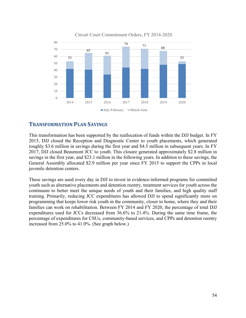

#### Circuit Court Commitment Orders, FY 2014-2020

#### <span id="page-61-0"></span>**TRANSFORMATION PLAN SAVINGS**

This transformation has been supported by the reallocation of funds within the DJJ budget. In FY 2015, DJJ closed the Reception and Diagnostic Center to youth placements, which generated roughly \$3.6 million in savings during the first year and \$4.5 million in subsequent years. In FY 2017, DJJ closed Beaumont JCC to youth. This closure generated approximately \$2.8 million in savings in the first year, and \$23.1 million in the following years. In addition to these savings, the General Assembly allocated \$2.9 million per year since FY 2015 to support the CPPs in local juvenile detention centers.

These savings are used every day in DJJ to invest in evidence-informed programs for committed youth such as alternative placements and detention reentry, treatment services for youth across the continuum to better meet the unique needs of youth and their families, and high quality staff training. Primarily, reducing JCC expenditures has allowed DJJ to spend significantly more on programming that keeps lower risk youth in the community, closer to home, where they and their families can work on rehabilitation. Between FY 2014 and FY 2020, the percentage of total DJJ expenditures used for JCCs decreased from 36.6% to 21.4%. During the same time frame, the percentage of expenditures for CSUs, community-based services, and CPPs and detention reentry increased from 25.0% to 41.0%. (See graph below.)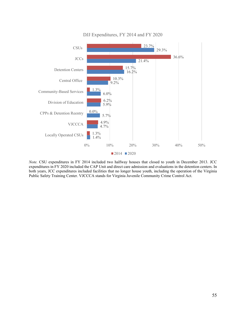

#### DJJ Expenditures, FY 2014 and FY 2020

*Note.* CSU expenditures in FY 2014 included two halfway houses that closed to youth in December 2013. JCC expenditures in FY 2020 included the CAP Unit and direct care admission and evaluations in the detention centers. In both years, JCC expenditures included facilities that no longer house youth, including the operation of the Virginia Public Safety Training Center. VJCCCA stands for Virginia Juvenile Community Crime Control Act.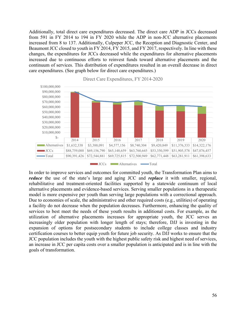Additionally, total direct care expenditures decreased. The direct care ADP in JCCs decreased from 591 in FY 2014 to 194 in FY 2020 while the ADP in non-JCC alternative placements increased from 8 to 137. Additionally, Culpeper JCC, the Reception and Diagnostic Center, and Beaumont JCC closed to youth in FY 2014, FY 2015, and FY 2017, respectively. In line with these changes, the expenditures for JCCs decreased while the expenditures for alternative placements increased due to continuous efforts to reinvest funds toward alternative placements and the continuum of services. This distribution of expenditures resulted in an overall decrease in direct care expenditures. (See graph below for direct care expenditures.)



Direct Care Expenditures, FY 2014-2020

In order to improve services and outcomes for committed youth, the Transformation Plan aims to *reduce* the use of the state's large and aging JCC and *replace* it with smaller, regional, rehabilitative and treatment-oriented facilities supported by a statewide continuum of local alternative placements and evidence-based services. Serving smaller populations in a therapeutic model is more expensive per youth than serving large populations with a correctional approach. Due to economies of scale, the administrative and other required costs (e.g., utilities) of operating a facility do not decrease when the population decreases. Furthermore, enhancing the quality of services to best meet the needs of these youth results in additional costs. For example, as the utilization of alternative placements increases for appropriate youth, the JCC serves an increasingly older population with longer length of stays; therefore, DJJ is investing in the expansion of options for postsecondary students to include college classes and industry certification courses to better equip youth for future job security. As DJJ works to ensure that the JCC population includes the youth with the highest public safety risk and highest need of services, an increase in JCC per capita costs over a smaller population is anticipated and is in line with the goals of transformation.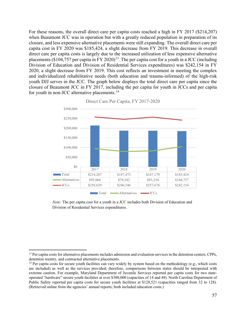For these reasons, the overall direct care per capita costs reached a high in FY 2017 (\$214,207) when Beaumont JCC was in operation but with a greatly reduced population in preparation of its closure, and less expensive alternative placements were still expanding. The overall direct care per capita cost in FY 2020 was \$185,424, a slight decrease from FY 2019. This decrease in overall direct care per capita costs is largely due to the increased utilization of less expensive alternative placements (\$104,757 per capita in FY 2020)<sup>13</sup>. The per capita cost for a youth in a JCC (including Division of Education and Division of Residential Services expenditures) was \$242,154 in FY 2020, a slight decrease from FY 2019. This cost reflects an investment in meeting the complex and individualized rehabilitative needs (both education and trauma-informed) of the high-risk youth DJJ serves in the JCC. The graph below displays the total direct care per capita since the closure of Beaumont JCC in FY 2017, including the per capita for youth in JCCs and per capita for youth in non-JCC alternative placements.<sup>[14](#page-64-1)</sup>





*Note:* The per capita cost for a youth in a JCC includes both Division of Education and Division of Residential Services expenditures.

<span id="page-64-0"></span><sup>&</sup>lt;sup>13</sup> Per capita costs for alternative placements includes admission and evaluation services in the detention centers, CPPs, detention reentry, and contracted alternative placements.

<span id="page-64-1"></span><sup>&</sup>lt;sup>14</sup> Per capita costs for secure youth facilities can vary widely by system based on the methodology (e.g., which costs are included) as well as the services provided; therefore, comparisons between states should be interpreted with extreme caution. For example, Maryland Department of Juvenile Services reported per capita costs for two stateoperated "hardware" secure youth facilities at over \$380,000 (capacities of 14 and 48). North Carolina Department of Public Safety reported per capita costs for secure youth facilities at \$128,521 (capacities ranged from 32 to 128). (Retrieved online from the agencies' annual reports; both included education costs.)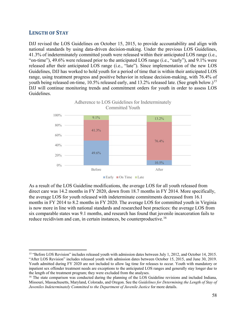# <span id="page-65-0"></span>**LENGTH OF STAY**

DJJ revised the LOS Guidelines on October 15, 2015, to provide accountability and align with national standards by using data-driven decision-making. Under the previous LOS Guidelines, 41.3% of indeterminately committed youth were released within their anticipated LOS range (i.e., "on-time"), 49.6% were released prior to the anticipated LOS range (i.e., "early"), and 9.1% were released after their anticipated LOS range (i.e., "late"). Since implementation of the new LOS Guidelines, DJJ has worked to hold youth for a period of time that is within their anticipated LOS range, using treatment progress and positive behavior in release decision-making, with 76.4% of youth being released on-time, 10.5% released early, and 13.2% released late. (See graph below.)<sup>[15](#page-65-1)</sup> DJJ will continue monitoring trends and commitment orders for youth in order to assess LOS Guidelines.

Adherence to LOS Guidelines for Indeterminately





As a result of the LOS Guideline modifications, the average LOS for all youth released from direct care was 14.2 months in FY 2020, down from 18.7 months in FY 2014. More specifically, the average LOS for youth released with indeterminate commitments decreased from 16.1 months in FY 2014 to 8.2 months in FY 2020. The average LOS for committed youth in Virginia is now more in line with national standards and researched best practices: the average LOS from six comparable states was 9.1 months, and research has found that juvenile incarceration fails to reduce recidivism and can, in certain instances, be counterproductive.<sup>[16](#page-65-2)</sup>

<span id="page-65-1"></span><sup>&</sup>lt;sup>15</sup> "Before LOS Revision" includes released youth with admission dates between July 1, 2012, and October 14, 2015. "After LOS Revision" includes released youth with admission dates between October 15, 2015, and June 30, 2019. Youth admitted during FY 2020 are not included to allow lag time for releases to occur. Youth with mandatory or inpatient sex offender treatment needs are exceptions to the anticipated LOS ranges and generally stay longer due to the length of the treatment program; they were excluded from the analyses.

<span id="page-65-2"></span><sup>&</sup>lt;sup>16</sup> The state comparison was conducted during the planning of the LOS Guideline revisions and included Indiana, Missouri, Massachusetts, Maryland, Colorado, and Oregon. See the *Guidelines for Determining the Length of Stay of Juveniles Indeterminately Committed to the Department of Juvenile Justice* for more details.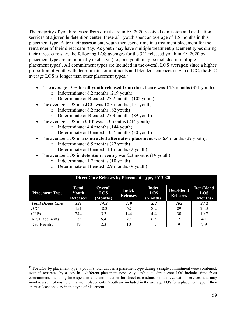The majority of youth released from direct care in FY 2020 received admission and evaluation services at a juvenile detention center; these 231 youth spent an average of 1.5 months in this placement type. After their assessment, youth then spend time in a treatment placement for the remainder of their direct care stay. As youth may have multiple treatment placement types during their direct care stay, the following LOS averages for the 321 released youth in FY 2020 by placement type are not mutually exclusive (i.e., one youth may be included in multiple placement types). All commitment types are included in the overall LOS averages; since a higher proportion of youth with determinate commitments and blended sentences stay in a JCC, the JCC average LOS is longer than other placement types.<sup>[17](#page-66-0)</sup>

- The average LOS for **all youth released from direct care** was 14.2 months (321 youth).
	- o Indeterminate: 8.2 months (219 youth)
	- o Determinate or Blended: 27.2 months (102 youth)
- The average LOS in a **JCC** was 18.3 months (151 youth)
	- o Indeterminate: 8.2 months (62 youth)
	- o Determinate or Blended: 25.3 months (89 youth)
- The average LOS in a **CPP** was 5.3 months (244 youth).
	- o Indeterminate: 4.4 months (144 youth)
	- o Determinate or Blended: 10.7 months (30 youth)
- The average LOS in a **contracted alternative placement** was 6.4 months (29 youth).
	- o Indeterminate: 6.5 months (27 youth)
	- o Determinate or Blended: 4.1 months (2 youth)
- The average LOS in **detention reentry** was 2.3 months (19 youth).
	- o Indeterminate: 1.7 months (10 youth)
	- o Determinate or Blended: 2.9 months (9 youth)

| Direct Care Releases by Placement Type, FY 2020 |                                          |                                   |                           |                           |                               |                               |
|-------------------------------------------------|------------------------------------------|-----------------------------------|---------------------------|---------------------------|-------------------------------|-------------------------------|
| <b>Placement Type</b>                           | <b>Total</b><br>Youth<br><b>Released</b> | <b>Overall</b><br>LOS<br>(Months) | Indet.<br><b>Releases</b> | Indet.<br>LOS<br>(Months) | Det./Blend<br><b>Releases</b> | Det./Blend<br>LOS<br>(Months) |
| <b>Total Direct Care</b>                        | 321                                      | 14.2                              | 219                       | 8.2                       | 102                           | 27.2                          |
| <b>JCC</b>                                      | 151                                      | 18.3                              | 62                        | 8.2                       | 89                            | 25.3                          |
| CPPs                                            | 244                                      | 5.3                               | 144                       | 4.4                       | 30                            | 10.7                          |
| Alt. Placements                                 | 29                                       | 6.4                               | 27                        | 6.5                       |                               | 4.1                           |
| Det. Reentry                                    | 19                                       | 2.3                               | 10                        | 1.7                       | O                             | 2.9                           |

<span id="page-66-0"></span><sup>&</sup>lt;sup>17</sup> For LOS by placement type, a youth's total days in a placement type during a single commitment were combined, even if separated by a stay in a different placement type. A youth's total direct care LOS includes time from commitment, including time spent in a detention center for direct care admission and evaluation services, and may involve a sum of multiple treatment placements. Youth are included in the average LOS for a placement type if they spent at least one day in that type of placement.